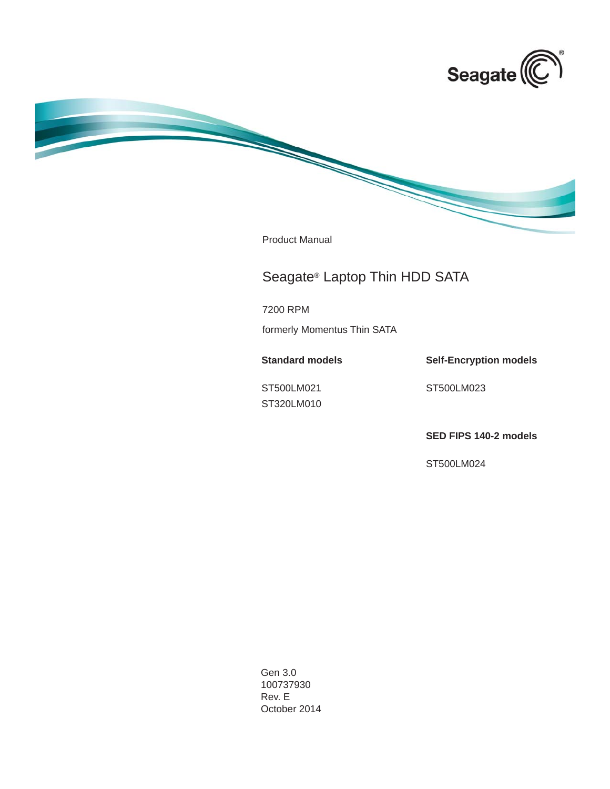

Product Manual

# Seagate® Laptop Thin HDD SATA

7200 RPM

formerly Momentus Thin SATA

**Standard models**

ST500LM021 ST320LM010 **Self-Encryption models**

ST500LM023

**SED FIPS 140-2 models**

ST500LM024

Gen 3.0 100737930 Rev. E October 2014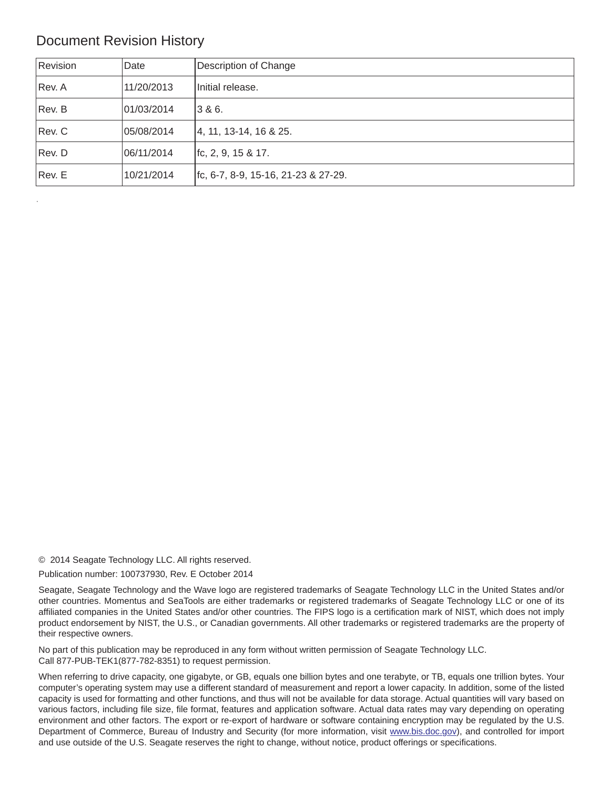# Document Revision History

| Revision | Date       | Description of Change                   |
|----------|------------|-----------------------------------------|
| Rev. A   | 11/20/2013 | Initial release.                        |
| Rev. B   | 01/03/2014 | 3 & 6.                                  |
| Rev. C   | 05/08/2014 | 4, 11, 13-14, 16 & 25.                  |
| Rev. D   | 06/11/2014 | $ $ fc, 2, 9, 15 & 17.                  |
| Rev. E   | 10/21/2014 | $ $ fc, 6-7, 8-9, 15-16, 21-23 & 27-29. |

© 2014 Seagate Technology LLC. All rights reserved.

Publication number: 100737930, Rev. E October 2014

Seagate, Seagate Technology and the Wave logo are registered trademarks of Seagate Technology LLC in the United States and/or other countries. Momentus and SeaTools are either trademarks or registered trademarks of Seagate Technology LLC or one of its affiliated companies in the United States and/or other countries. The FIPS logo is a certification mark of NIST, which does not imply product endorsement by NIST, the U.S., or Canadian governments. All other trademarks or registered trademarks are the property of their respective owners.

No part of this publication may be reproduced in any form without written permission of Seagate Technology LLC. Call 877-PUB-TEK1(877-782-8351) to request permission.

When referring to drive capacity, one gigabyte, or GB, equals one billion bytes and one terabyte, or TB, equals one trillion bytes. Your computer's operating system may use a different standard of measurement and report a lower capacity. In addition, some of the listed capacity is used for formatting and other functions, and thus will not be available for data storage. Actual quantities will vary based on various factors, including file size, file format, features and application software. Actual data rates may vary depending on operating environment and other factors. The export or re-export of hardware or software containing encryption may be regulated by the U.S. Department of Commerce, Bureau of Industry and Security (for more information, visit [www.bis.doc.](http://www.bis.doc.gov)gov), and controlled for import and use outside of the U.S. Seagate reserves the right to change, without notice, product offerings or specifications.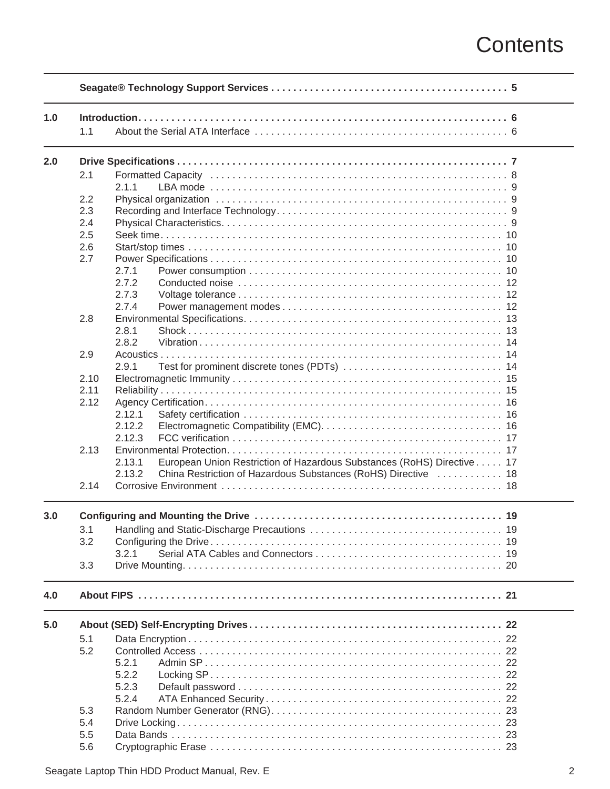# **Contents**

| 1.0 |      |                                                                                  |
|-----|------|----------------------------------------------------------------------------------|
|     | 1.1  |                                                                                  |
| 2.0 |      |                                                                                  |
|     | 2.1  |                                                                                  |
|     |      | 2.1.1                                                                            |
|     | 2.2  |                                                                                  |
|     | 2.3  |                                                                                  |
|     | 2.4  |                                                                                  |
|     |      |                                                                                  |
|     | 2.5  |                                                                                  |
|     | 2.6  | 10                                                                               |
|     | 2.7  | 10                                                                               |
|     |      | 2.7.1<br>10                                                                      |
|     |      | 2.7.2<br>12                                                                      |
|     |      | 2.7.3<br>12                                                                      |
|     |      | 2.7.4                                                                            |
|     | 2.8  |                                                                                  |
|     |      | 2.8.1                                                                            |
|     |      | 2.8.2                                                                            |
|     | 2.9  | Acoustics                                                                        |
|     |      | 2.9.1                                                                            |
|     | 2.10 |                                                                                  |
|     | 2.11 |                                                                                  |
|     |      |                                                                                  |
|     | 2.12 |                                                                                  |
|     |      | 2.12.1                                                                           |
|     |      | 2.12.2                                                                           |
|     |      | 2.12.3                                                                           |
|     | 2.13 | 17                                                                               |
|     |      | European Union Restriction of Hazardous Substances (RoHS) Directive 17<br>2.13.1 |
|     |      | 2.13.2<br>China Restriction of Hazardous Substances (RoHS) Directive  18         |
|     | 2.14 |                                                                                  |
| 3.0 |      |                                                                                  |
|     | 3.1  |                                                                                  |
|     | 3.2  |                                                                                  |
|     |      | 3.2.1                                                                            |
|     |      |                                                                                  |
|     | 3.3  |                                                                                  |
| 4.0 |      |                                                                                  |
| 5.0 |      |                                                                                  |
|     | 5.1  |                                                                                  |
|     | 5.2  |                                                                                  |
|     |      | 5.2.1                                                                            |
|     |      | 5.2.2                                                                            |
|     |      |                                                                                  |
|     |      | 5.2.3                                                                            |
|     |      | 5.2.4                                                                            |
|     | 5.3  |                                                                                  |
|     | 5.4  |                                                                                  |
|     | 5.5  |                                                                                  |
|     | 5.6  |                                                                                  |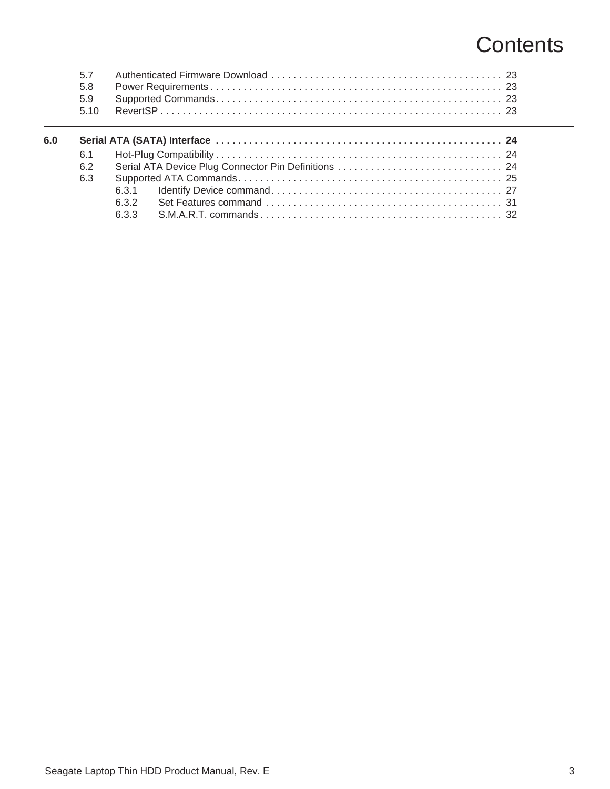# **Contents**

| 6.0 |     |     |  |
|-----|-----|-----|--|
|     | 6.1 |     |  |
|     | 6.2 |     |  |
|     | 6.3 |     |  |
|     |     |     |  |
|     |     |     |  |
|     |     | 633 |  |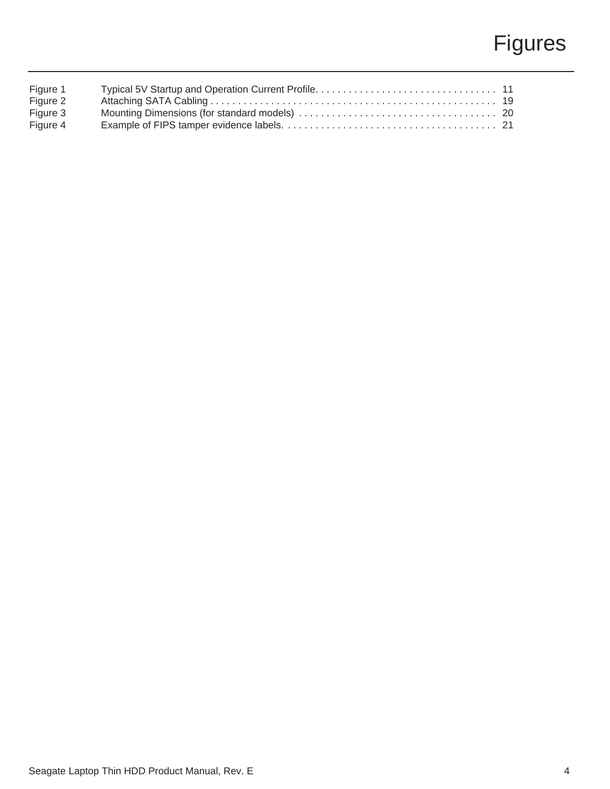# Figures

| Figure 1 |  |
|----------|--|
| Figure 2 |  |
| Figure 3 |  |
| Figure 4 |  |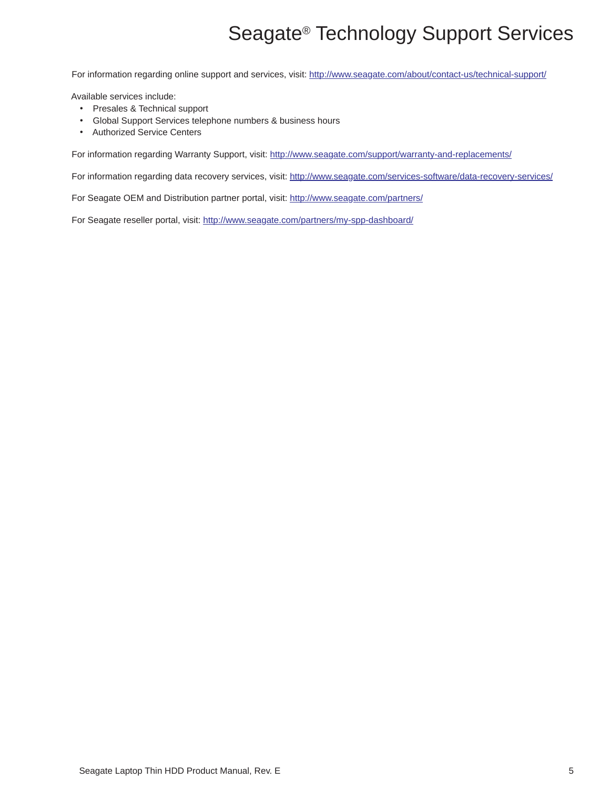# Seagate® Technology Support Services

<span id="page-5-0"></span>For information regarding online support and services, visit: [http://www.sea](http://www.seagate.com/about/contact-us/technical-support/)gate.com/about/contact-us/technical-support/

Available services include:

- Presales & Technical support
- Global Support Services telephone numbers & business hours
- Authorized Service Centers

[For information regarding Warranty Support, visit:](http://www.seagate.com/support/warranty-and-replacements/) http://www.seagate.com/support/warranty-and-replacements/

For information regarding data recovery services, visit: [http://www.seag](http://www.seagate.com/services-software/data-recovery-services/)ate.com/services-software/data-recovery-services/

[For Seagate OEM and Distribution partner portal, visit:](http://www.seagate.com/partners/) http://www.seagate.com/partners/

[For Seagate reseller portal, visit:](http://www.seagate.com/partners/my-spp-dashboard/) http://www.seagate.com/partners/my-spp-dashboard/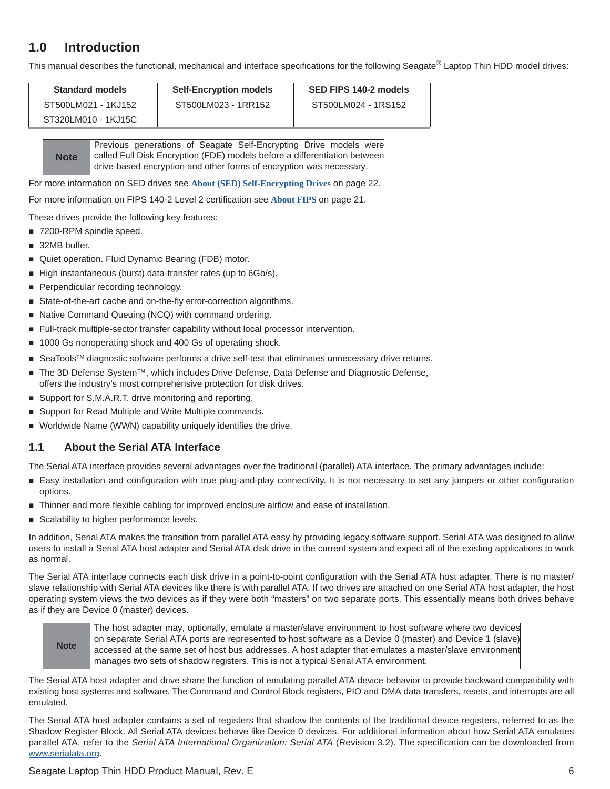# <span id="page-6-0"></span>**1.0 Introduction**

This manual describes the functional, mechanical and interface specifications for the following Seagate® Laptop Thin HDD model drives:

| <b>Standard models</b> | <b>Self-Encryption models</b> | SED FIPS 140-2 models |
|------------------------|-------------------------------|-----------------------|
| ST500LM021 - 1KJ152    | ST500LM023 - 1RR152           | ST500LM024 - 1RS152   |
| ST320LM010 - 1KJ15C    |                               |                       |

**Note** Previous generations of Seagate Self-Encrypting Drive models were called Full Disk Encryption (FDE) models before a differentiation between drive-based encryption and other forms of encryption was necessary.

For more information on SED drives see **[About \(SED\) Self-Encrypting Drives](#page-22-0)** on page 22.

For more information on FIPS 140-2 Level 2 certification see **About FIPS** [on page 21](#page-21-0).

These drives provide the following key features:

- 7200-RPM spindle speed.
- 32MB buffer.
- Quiet operation. Fluid Dynamic Bearing (FDB) motor.
- High instantaneous (burst) data-transfer rates (up to 6Gb/s).
- **Perpendicular recording technology.**
- State-of-the-art cache and on-the-fly error-correction algorithms.
- Native Command Queuing (NCQ) with command ordering.
- Full-track multiple-sector transfer capability without local processor intervention.
- 1000 Gs nonoperating shock and 400 Gs of operating shock.
- SeaTools<sup>™</sup> diagnostic software performs a drive self-test that eliminates unnecessary drive returns.
- The 3D Defense System™, which includes Drive Defense, Data Defense and Diagnostic Defense, offers the industry's most comprehensive protection for disk drives.
- Support for S.M.A.R.T. drive monitoring and reporting.
- Support for Read Multiple and Write Multiple commands.
- Worldwide Name (WWN) capability uniquely identifies the drive.

#### <span id="page-6-1"></span>**1.1 About the Serial ATA Interface**

The Serial ATA interface provides several advantages over the traditional (parallel) ATA interface. The primary advantages include:

- Easy installation and configuration with true plug-and-play connectivity. It is not necessary to set any jumpers or other configuration options.
- Thinner and more flexible cabling for improved enclosure airflow and ease of installation.
- Scalability to higher performance levels.

In addition, Serial ATA makes the transition from parallel ATA easy by providing legacy software support. Serial ATA was designed to allow users to install a Serial ATA host adapter and Serial ATA disk drive in the current system and expect all of the existing applications to work as normal.

The Serial ATA interface connects each disk drive in a point-to-point configuration with the Serial ATA host adapter. There is no master/ slave relationship with Serial ATA devices like there is with parallel ATA. If two drives are attached on one Serial ATA host adapter, the host operating system views the two devices as if they were both "masters" on two separate ports. This essentially means both drives behave as if they are Device 0 (master) devices.

**Note** The host adapter may, optionally, emulate a master/slave environment to host software where two devices on separate Serial ATA ports are represented to host software as a Device 0 (master) and Device 1 (slave) accessed at the same set of host bus addresses. A host adapter that emulates a master/slave environment manages two sets of shadow registers. This is not a typical Serial ATA environment.

The Serial ATA host adapter and drive share the function of emulating parallel ATA device behavior to provide backward compatibility with existing host systems and software. The Command and Control Block registers, PIO and DMA data transfers, resets, and interrupts are all emulated.

The Serial ATA host adapter contains a set of registers that shadow the contents of the traditional device registers, referred to as the Shadow Register Block. All Serial ATA devices behave like Device 0 devices. For additional information about how Serial ATA emulates parallel ATA, refer to the *Serial ATA International Organization: Serial ATA* [\(Revision 3.2\). The specification can be downloaded from](http://www.serialata.org/ ) [w](http://www.serialata.org/ )ww.serialata.org.

#### Seagate Laptop Thin HDD Product Manual, Rev. E 6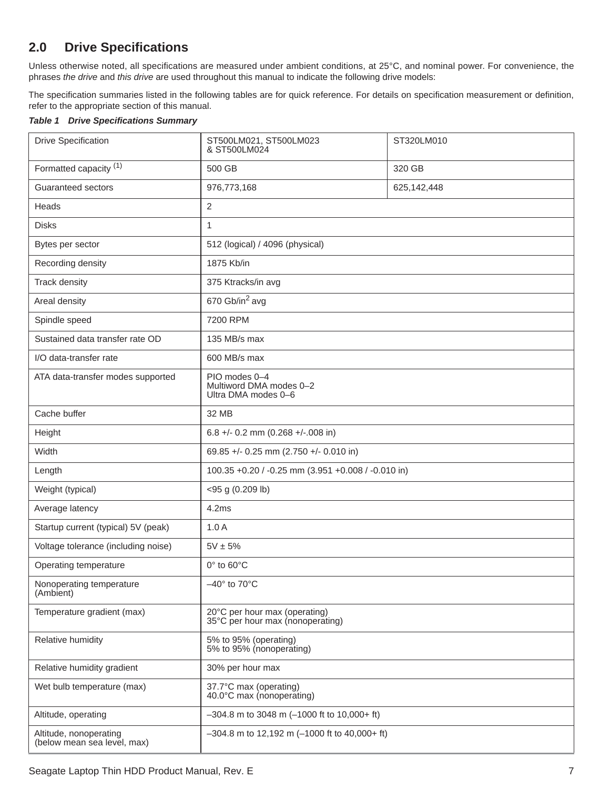# <span id="page-7-0"></span>**2.0 Drive Specifications**

Unless otherwise noted, all specifications are measured under ambient conditions, at 25°C, and nominal power. For convenience, the phrases *the drive* and *this drive* are used throughout this manual to indicate the following drive models:

The specification summaries listed in the following tables are for quick reference. For details on specification measurement or definition, refer to the appropriate section of this manual.

#### *Table 1 Drive Specifications Summary*

| <b>Drive Specification</b>                            | ST500LM021, ST500LM023<br>& ST500LM024                            | ST320LM010  |
|-------------------------------------------------------|-------------------------------------------------------------------|-------------|
| Formatted capacity <sup>(1)</sup>                     | 500 GB                                                            | 320 GB      |
| Guaranteed sectors                                    | 976,773,168                                                       | 625,142,448 |
| Heads                                                 | $\overline{2}$                                                    |             |
| <b>Disks</b>                                          | $\mathbf{1}$                                                      |             |
| Bytes per sector                                      | 512 (logical) / 4096 (physical)                                   |             |
| Recording density                                     | 1875 Kb/in                                                        |             |
| Track density                                         | 375 Ktracks/in avg                                                |             |
| Areal density                                         | 670 Gb/in <sup>2</sup> avg                                        |             |
| Spindle speed                                         | 7200 RPM                                                          |             |
| Sustained data transfer rate OD                       | 135 MB/s max                                                      |             |
| I/O data-transfer rate                                | 600 MB/s max                                                      |             |
| ATA data-transfer modes supported                     | PIO modes 0-4<br>Multiword DMA modes 0-2<br>Ultra DMA modes 0-6   |             |
| Cache buffer                                          | 32 MB                                                             |             |
| Height                                                | 6.8 +/- 0.2 mm (0.268 +/-.008 in)                                 |             |
| Width                                                 | 69.85 +/- 0.25 mm (2.750 +/- 0.010 in)                            |             |
| Length                                                | 100.35 +0.20 / -0.25 mm (3.951 +0.008 / -0.010 in)                |             |
| Weight (typical)                                      | <95 g (0.209 lb)                                                  |             |
| Average latency                                       | 4.2ms                                                             |             |
| Startup current (typical) 5V (peak)                   | 1.0A                                                              |             |
| Voltage tolerance (including noise)                   | $5V \pm 5%$                                                       |             |
| Operating temperature                                 | 0° to 60°C                                                        |             |
| Nonoperating temperature<br>(Ambient)                 | $-40^\circ$ to 70 $\degree$ C                                     |             |
| Temperature gradient (max)                            | 20°C per hour max (operating)<br>35°C per hour max (nonoperating) |             |
| Relative humidity                                     | 5% to 95% (operating)<br>5% to 95% (nonoperating)                 |             |
| Relative humidity gradient                            | 30% per hour max                                                  |             |
| Wet bulb temperature (max)                            | 37.7°C max (operating)<br>40.0°C max (nonoperating)               |             |
| Altitude, operating                                   | $-304.8$ m to 3048 m (-1000 ft to 10,000+ ft)                     |             |
| Altitude, nonoperating<br>(below mean sea level, max) | $-304.8$ m to 12,192 m (-1000 ft to 40,000+ ft)                   |             |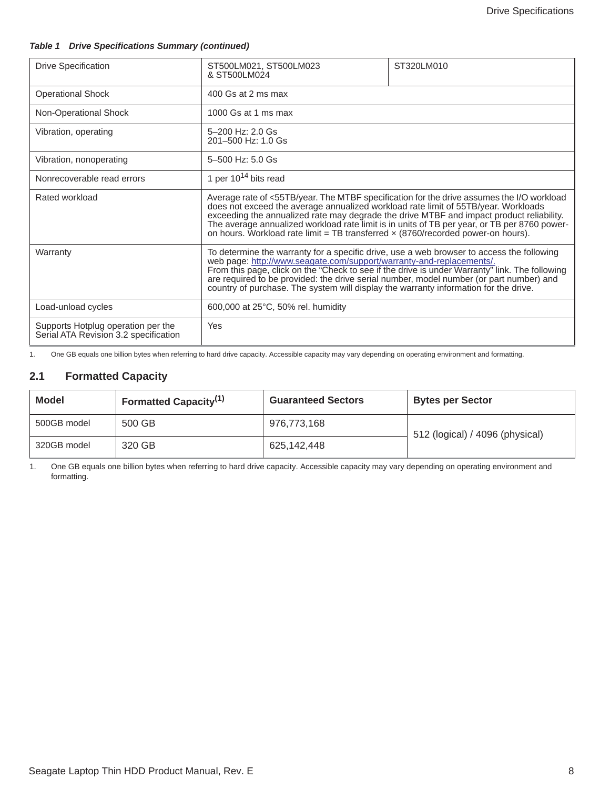#### *Table 1 Drive Specifications Summary (continued)*

| <b>Drive Specification</b>                                                  | ST500LM021, ST500LM023<br>ST320LM010<br>& ST500LM024                                                                                                                                                                                                                                                                                                                                                                                                   |                                                                                                                                                                                           |  |
|-----------------------------------------------------------------------------|--------------------------------------------------------------------------------------------------------------------------------------------------------------------------------------------------------------------------------------------------------------------------------------------------------------------------------------------------------------------------------------------------------------------------------------------------------|-------------------------------------------------------------------------------------------------------------------------------------------------------------------------------------------|--|
| <b>Operational Shock</b>                                                    | 400 Gs at 2 ms max                                                                                                                                                                                                                                                                                                                                                                                                                                     |                                                                                                                                                                                           |  |
| Non-Operational Shock                                                       | $1000$ Gs at 1 ms max                                                                                                                                                                                                                                                                                                                                                                                                                                  |                                                                                                                                                                                           |  |
| Vibration, operating                                                        | 5-200 Hz: 2.0 Gs<br>201-500 Hz: 1.0 Gs                                                                                                                                                                                                                                                                                                                                                                                                                 |                                                                                                                                                                                           |  |
| Vibration, nonoperating                                                     | 5-500 Hz: 5.0 Gs                                                                                                                                                                                                                                                                                                                                                                                                                                       |                                                                                                                                                                                           |  |
| Nonrecoverable read errors                                                  | 1 per $10^{14}$ bits read                                                                                                                                                                                                                                                                                                                                                                                                                              |                                                                                                                                                                                           |  |
| Rated workload                                                              | does not exceed the average annualized workload rate limit of 55TB/year. Workloads<br>exceeding the annualized rate may degrade the drive MTBF and impact product reliability.<br>on hours. Workload rate limit = TB transferred $\times$ (8760/recorded power-on hours).                                                                                                                                                                              | Average rate of <55TB/year. The MTBF specification for the drive assumes the I/O workload<br>The average annualized workload rate limit is in units of TB per year, or TB per 8760 power- |  |
| Warranty                                                                    | To determine the warranty for a specific drive, use a web browser to access the following<br>web page: http://www.seagate.com/support/warranty-and-replacements/.<br>From this page, click on the "Check to see if the drive is under Warranty" link. The following<br>are required to be provided: the drive serial number, model number (or part number) and<br>country of purchase. The system will display the warranty information for the drive. |                                                                                                                                                                                           |  |
| Load-unload cycles                                                          | 600,000 at 25°C, 50% rel. humidity                                                                                                                                                                                                                                                                                                                                                                                                                     |                                                                                                                                                                                           |  |
| Supports Hotplug operation per the<br>Serial ATA Revision 3.2 specification | Yes                                                                                                                                                                                                                                                                                                                                                                                                                                                    |                                                                                                                                                                                           |  |

1. One GB equals one billion bytes when referring to hard drive capacity. Accessible capacity may vary depending on operating environment and formatting.

## <span id="page-8-0"></span>**2.1 Formatted Capacity**

| <b>Model</b> | Formatted Capacity <sup>(1)</sup> | <b>Guaranteed Sectors</b> | <b>Bytes per Sector</b>         |
|--------------|-----------------------------------|---------------------------|---------------------------------|
| 500GB model  | 500 GB                            | 976.773.168               | 512 (logical) / 4096 (physical) |
| 320GB model  | 320 GB                            | 625,142,448               |                                 |

1. One GB equals one billion bytes when referring to hard drive capacity. Accessible capacity may vary depending on operating environment and formatting.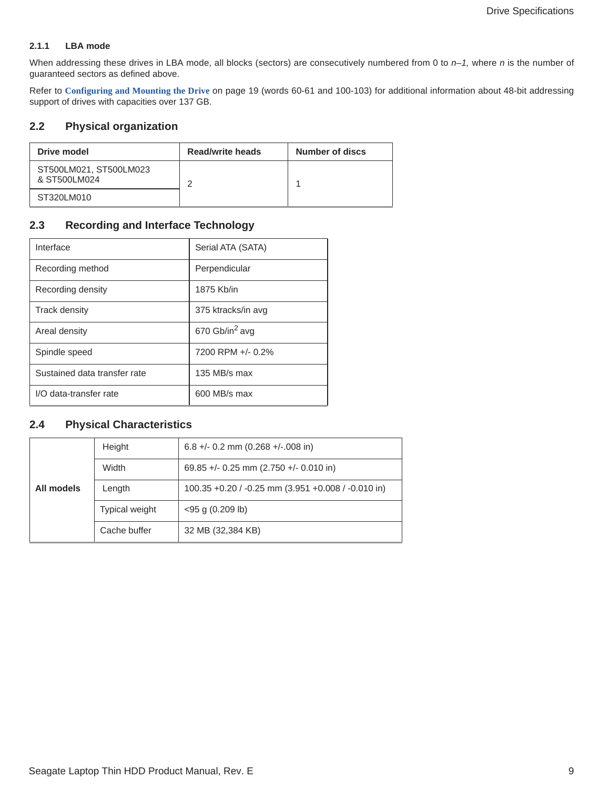#### <span id="page-9-0"></span>**2.1.1 LBA mode**

When addressing these drives in LBA mode, all blocks (sectors) are consecutively numbered from 0 to  $n-1$ , where n is the number of guaranteed sectors as defined above.

Refer to **[Configuring and Mounting the Drive](#page-19-0)** on page 19 (words 60-61 and 100-103) for additional information about 48-bit addressing support of drives with capacities over 137 GB.

## <span id="page-9-1"></span>**2.2 Physical organization**

| Drive model                            | <b>Read/write heads</b> | Number of discs |
|----------------------------------------|-------------------------|-----------------|
| ST500LM021, ST500LM023<br>& ST500LM024 |                         |                 |
| ST320LM010                             |                         |                 |

## <span id="page-9-2"></span>**2.3 Recording and Interface Technology**

| Interface                    | Serial ATA (SATA)          |
|------------------------------|----------------------------|
| Recording method             | Perpendicular              |
| Recording density            | 1875 Kb/in                 |
| <b>Track density</b>         | 375 ktracks/in avg         |
| Areal density                | 670 Gb/in <sup>2</sup> avg |
| Spindle speed                | 7200 RPM +/- 0.2%          |
| Sustained data transfer rate | 135 MB/s max               |
| I/O data-transfer rate       | 600 MB/s max               |

## <span id="page-9-3"></span>**2.4 Physical Characteristics**

|            | Height                | $6.8 +/- 0.2$ mm $(0.268 +/- 0.08$ in)             |
|------------|-----------------------|----------------------------------------------------|
|            | Width                 | 69.85 +/- 0.25 mm (2.750 +/- 0.010 in)             |
| All models | Length                | 100.35 +0.20 / -0.25 mm (3.951 +0.008 / -0.010 in) |
|            | <b>Typical weight</b> | $<$ 95 g (0.209 lb)                                |
|            | Cache buffer          | 32 MB (32,384 KB)                                  |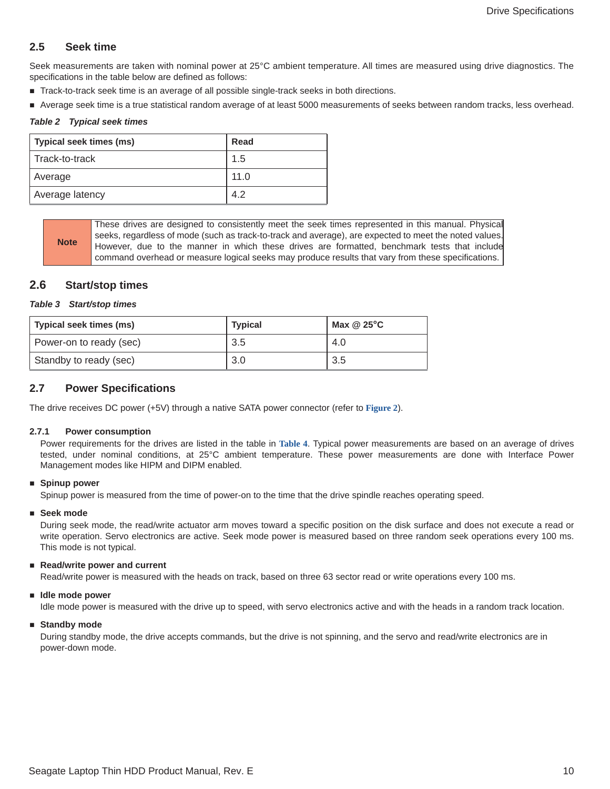## <span id="page-10-0"></span>**2.5 Seek time**

Seek measurements are taken with nominal power at 25°C ambient temperature. All times are measured using drive diagnostics. The specifications in the table below are defined as follows:

- Track-to-track seek time is an average of all possible single-track seeks in both directions.
- Average seek time is a true statistical random average of at least 5000 measurements of seeks between random tracks, less overhead.

#### *Table 2 Typical seek times*

| Typical seek times (ms) | Read |
|-------------------------|------|
| Track-to-track          | 1.5  |
| Average                 | 11.0 |
| Average latency         | 4.2  |

**Note** These drives are designed to consistently meet the seek times represented in this manual. Physical seeks, regardless of mode (such as track-to-track and average), are expected to meet the noted values. However, due to the manner in which these drives are formatted, benchmark tests that include command overhead or measure logical seeks may produce results that vary from these specifications.

## <span id="page-10-1"></span>**2.6 Start/stop times**

#### *Table 3 Start/stop times*

| Typical seek times (ms) | <b>Typical</b> | Max $@25^{\circ}C$ |  |
|-------------------------|----------------|--------------------|--|
| Power-on to ready (sec) | 3.5            | 4.O                |  |
| Standby to ready (sec)  | 3.0            | 3.5                |  |

## <span id="page-10-2"></span>**2.7 Power Specifications**

The drive receives DC power (+5V) through a native SATA power connector (refer to **[Figure 2](#page-19-4)**).

#### <span id="page-10-3"></span>**2.7.1 Power consumption**

Power requirements for the drives are listed in the table in **Table 4**. Typical power measurements are based on an average of drives tested, under nominal conditions, at 25°C ambient temperature. These power measurements are done with Interface Power Management modes like HIPM and DIPM enabled.

#### **Spinup power**

Spinup power is measured from the time of power-on to the time that the drive spindle reaches operating speed.

#### **Seek mode**

During seek mode, the read/write actuator arm moves toward a specific position on the disk surface and does not execute a read or write operation. Servo electronics are active. Seek mode power is measured based on three random seek operations every 100 ms. This mode is not typical.

#### ■ Read/write power and current

Read/write power is measured with the heads on track, based on three 63 sector read or write operations every 100 ms.

#### **Idle mode power**

Idle mode power is measured with the drive up to speed, with servo electronics active and with the heads in a random track location.

#### **Standby mode**

During standby mode, the drive accepts commands, but the drive is not spinning, and the servo and read/write electronics are in power-down mode.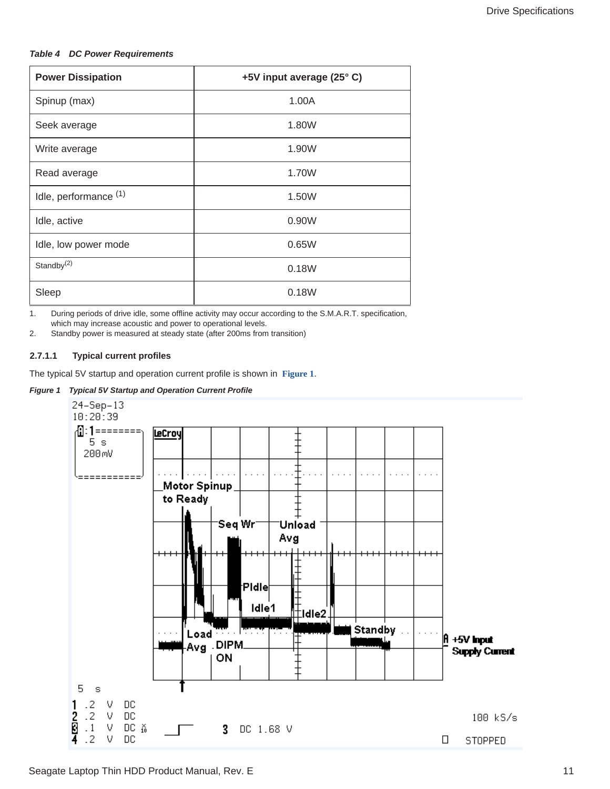#### *Table 4 DC Power Requirements*

| <b>Power Dissipation</b> | +5V input average (25°C) |
|--------------------------|--------------------------|
| Spinup (max)             | 1.00A                    |
| Seek average             | 1.80W                    |
| Write average            | 1.90W                    |
| Read average             | 1.70W                    |
| Idle, performance (1)    | 1.50W                    |
| Idle, active             | 0.90W                    |
| Idle, low power mode     | 0.65W                    |
| Standby $(2)$            | 0.18W                    |
| Sleep                    | 0.18W                    |

1. During periods of drive idle, some offline activity may occur according to the S.M.A.R.T. specification, which may increase acoustic and power to operational levels.

2. Standby power is measured at steady state (after 200ms from transition)

#### **2.7.1.1 Typical current profiles**

The typical 5V startup and operation current profile is shown in **[Figure 1](#page-11-0)**.

#### <span id="page-11-0"></span>*Figure 1 Typical 5V Startup and Operation Current Profile*

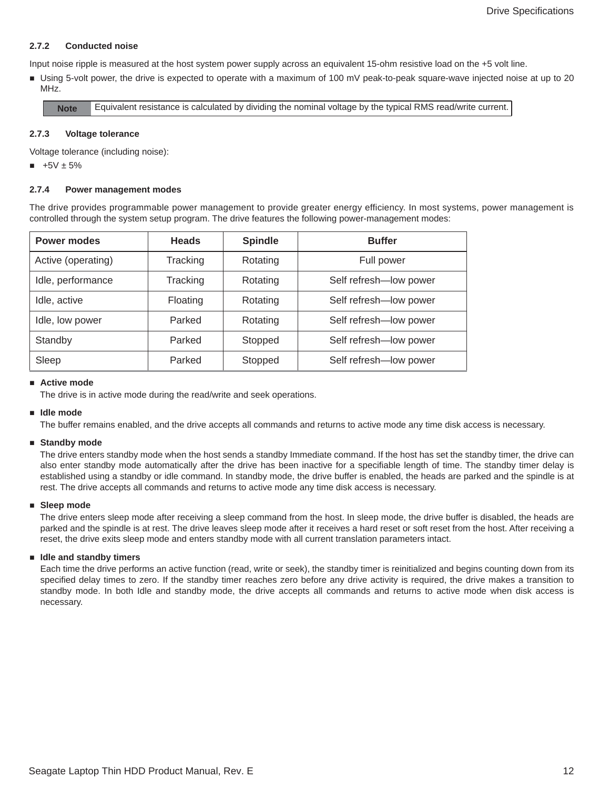#### <span id="page-12-0"></span>**2.7.2 Conducted noise**

Input noise ripple is measured at the host system power supply across an equivalent 15-ohm resistive load on the +5 volt line.

 Using 5-volt power, the drive is expected to operate with a maximum of 100 mV peak-to-peak square-wave injected noise at up to 20 MHz.

**Note** Equivalent resistance is calculated by dividing the nominal voltage by the typical RMS read/write current.

#### <span id="page-12-1"></span>**2.7.3 Voltage tolerance**

Voltage tolerance (including noise):

 $+5V \pm 5%$ 

#### <span id="page-12-2"></span>**2.7.4 Power management modes**

The drive provides programmable power management to provide greater energy efficiency. In most systems, power management is controlled through the system setup program. The drive features the following power-management modes:

| <b>Power modes</b> | <b>Heads</b> | <b>Spindle</b> | <b>Buffer</b>          |  |
|--------------------|--------------|----------------|------------------------|--|
| Active (operating) | Tracking     | Rotating       | Full power             |  |
| Idle, performance  | Tracking     | Rotating       | Self refresh-low power |  |
| Idle, active       | Floating     | Rotating       | Self refresh-low power |  |
| Idle, low power    | Parked       | Rotating       | Self refresh-low power |  |
| Standby            | Parked       | Stopped        | Self refresh-low power |  |
| Sleep              | Parked       | Stopped        | Self refresh-low power |  |

#### **Active mode**

The drive is in active mode during the read/write and seek operations.

#### **Idle mode**

The buffer remains enabled, and the drive accepts all commands and returns to active mode any time disk access is necessary.

#### **Standby mode**

The drive enters standby mode when the host sends a standby Immediate command. If the host has set the standby timer, the drive can also enter standby mode automatically after the drive has been inactive for a specifiable length of time. The standby timer delay is established using a standby or idle command. In standby mode, the drive buffer is enabled, the heads are parked and the spindle is at rest. The drive accepts all commands and returns to active mode any time disk access is necessary.

#### **Sleep mode**

The drive enters sleep mode after receiving a sleep command from the host. In sleep mode, the drive buffer is disabled, the heads are parked and the spindle is at rest. The drive leaves sleep mode after it receives a hard reset or soft reset from the host. After receiving a reset, the drive exits sleep mode and enters standby mode with all current translation parameters intact.

#### **Idle and standby timers**

Each time the drive performs an active function (read, write or seek), the standby timer is reinitialized and begins counting down from its specified delay times to zero. If the standby timer reaches zero before any drive activity is required, the drive makes a transition to standby mode. In both Idle and standby mode, the drive accepts all commands and returns to active mode when disk access is necessary.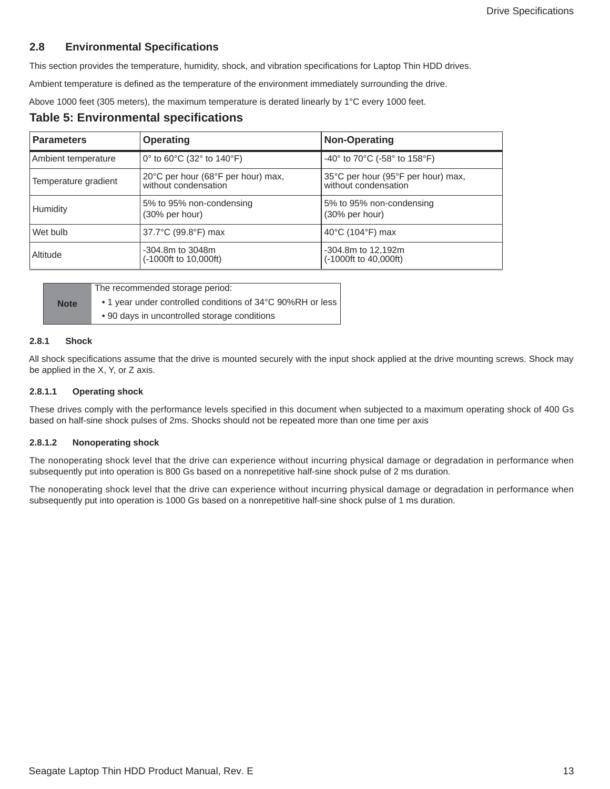## <span id="page-13-0"></span>**2.8 Environmental Specifications**

This section provides the temperature, humidity, shock, and vibration specifications for Laptop Thin HDD drives.

Ambient temperature is defined as the temperature of the environment immediately surrounding the drive.

Above 1000 feet (305 meters), the maximum temperature is derated linearly by 1°C every 1000 feet.

## **Table 5: Environmental specifications**

| <b>Parameters</b><br><b>Operating</b> |                                                            | <b>Non-Operating</b>                                       |  |
|---------------------------------------|------------------------------------------------------------|------------------------------------------------------------|--|
| Ambient temperature                   | 0° to 60°C (32° to 140°F)                                  | -40° to 70°C (-58° to 158°F)                               |  |
| Temperature gradient                  | 20°C per hour (68°F per hour) max,<br>without condensation | 35°C per hour (95°F per hour) max,<br>without condensation |  |
| Humidity                              | 5% to 95% non-condensing<br>(30% per hour)                 | 5% to 95% non-condensing<br>(30% per hour)                 |  |
| Wet bulb                              | 37.7°C (99.8°F) max                                        | 40 $\degree$ C (104 $\degree$ F) max                       |  |
| Altitude                              | $-304.8m$ to $3048m$<br>$(-1000ft to 10,000ft)$            | $-304.8m$ to 12,192m<br>(-1000ft to 40,000ft)              |  |

|             | The recommended storage period:                            |
|-------------|------------------------------------------------------------|
| <b>Note</b> | • 1 year under controlled conditions of 34°C 90%RH or less |
|             | • 90 days in uncontrolled storage conditions               |

#### <span id="page-13-1"></span>**2.8.1 Shock**

All shock specifications assume that the drive is mounted securely with the input shock applied at the drive mounting screws. Shock may be applied in the X, Y, or Z axis.

#### **2.8.1.1 Operating shock**

These drives comply with the performance levels specified in this document when subjected to a maximum operating shock of 400 Gs based on half-sine shock pulses of 2ms. Shocks should not be repeated more than one time per axis

#### **2.8.1.2 Nonoperating shock**

The nonoperating shock level that the drive can experience without incurring physical damage or degradation in performance when subsequently put into operation is 800 Gs based on a nonrepetitive half-sine shock pulse of 2 ms duration.

The nonoperating shock level that the drive can experience without incurring physical damage or degradation in performance when subsequently put into operation is 1000 Gs based on a nonrepetitive half-sine shock pulse of 1 ms duration.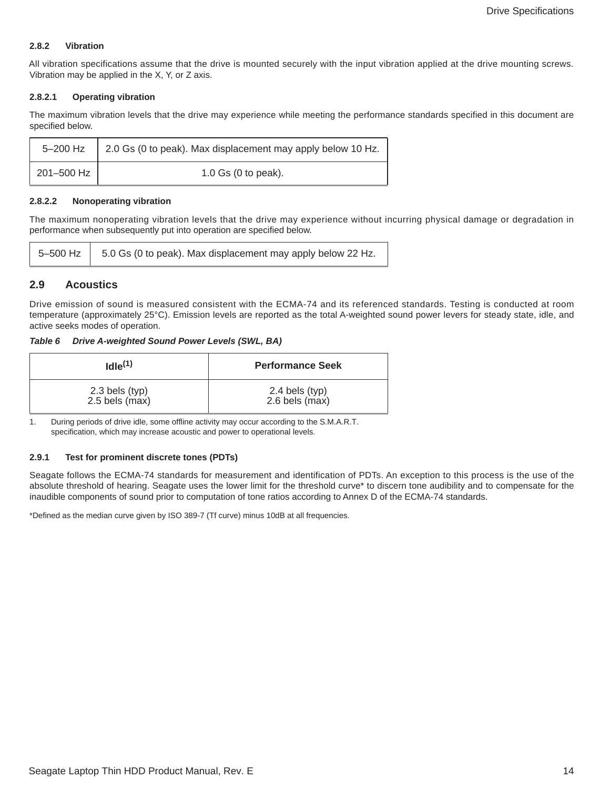#### <span id="page-14-0"></span>**2.8.2 Vibration**

All vibration specifications assume that the drive is mounted securely with the input vibration applied at the drive mounting screws. Vibration may be applied in the X, Y, or Z axis.

#### **2.8.2.1 Operating vibration**

The maximum vibration levels that the drive may experience while meeting the performance standards specified in this document are specified below.

|            | 5-200 Hz   2.0 Gs (0 to peak). Max displacement may apply below 10 Hz. |
|------------|------------------------------------------------------------------------|
| 201-500 Hz | 1.0 Gs $(0 \text{ to peak})$ .                                         |

#### **2.8.2.2 Nonoperating vibration**

The maximum nonoperating vibration levels that the drive may experience without incurring physical damage or degradation in performance when subsequently put into operation are specified below.

|  | $5-500$ Hz $\parallel$ 5.0 Gs (0 to peak). Max displacement may apply below 22 Hz. |
|--|------------------------------------------------------------------------------------|
|--|------------------------------------------------------------------------------------|

## <span id="page-14-1"></span>**2.9 Acoustics**

Drive emission of sound is measured consistent with the ECMA-74 and its referenced standards. Testing is conducted at room temperature (approximately 25°C). Emission levels are reported as the total A-weighted sound power levers for steady state, idle, and active seeks modes of operation.

#### *Table 6 Drive A-weighted Sound Power Levels (SWL, BA)*

| Idle <sup>(1)</sup> | <b>Performance Seek</b> |
|---------------------|-------------------------|
| $2.3$ bels (typ)    | $2.4$ bels (typ)        |
| $2.5$ bels $(max)$  | $2.6$ bels (max)        |

1. During periods of drive idle, some offline activity may occur according to the S.M.A.R.T. specification, which may increase acoustic and power to operational levels*.*

#### <span id="page-14-2"></span>**2.9.1 Test for prominent discrete tones (PDTs)**

Seagate follows the ECMA-74 standards for measurement and identification of PDTs. An exception to this process is the use of the absolute threshold of hearing. Seagate uses the lower limit for the threshold curve\* to discern tone audibility and to compensate for the inaudible components of sound prior to computation of tone ratios according to Annex D of the ECMA-74 standards.

\*Defined as the median curve given by ISO 389-7 (Tf curve) minus 10dB at all frequencies.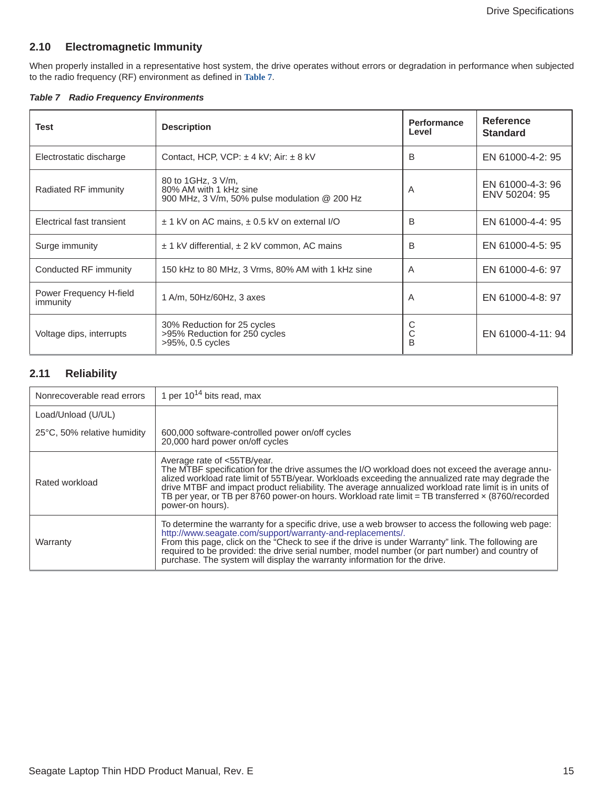## <span id="page-15-0"></span>**2.10 Electromagnetic Immunity**

When properly installed in a representative host system, the drive operates without errors or degradation in performance when subjected to the radio frequency (RF) environment as defined in **[Table 7](#page-15-2)**.

<span id="page-15-2"></span>*Table 7 Radio Frequency Environments*

| Test                                | <b>Description</b>                                                                                            | <b>Performance</b><br>Level | <b>Reference</b><br><b>Standard</b> |
|-------------------------------------|---------------------------------------------------------------------------------------------------------------|-----------------------------|-------------------------------------|
| Electrostatic discharge             | Contact, HCP, VCP: $\pm$ 4 kV; Air: $\pm$ 8 kV                                                                | B                           | EN 61000-4-2: 95                    |
| Radiated RF immunity                | 80 to 1GHz, 3 V/m,<br>80% AM with 1 kHz sine<br>900 MHz, $3 \text{ V/m}$ , $50\%$ pulse modulation $@$ 200 Hz | A                           | EN 61000-4-3: 96<br>ENV 50204: 95   |
| Electrical fast transient           | $\pm$ 1 kV on AC mains, $\pm$ 0.5 kV on external I/O                                                          | B                           | EN 61000-4-4: 95                    |
| Surge immunity                      | $\pm$ 1 kV differential, $\pm$ 2 kV common, AC mains                                                          | B                           | EN 61000-4-5: 95                    |
| Conducted RF immunity               | 150 kHz to 80 MHz, 3 Vrms, 80% AM with 1 kHz sine                                                             | A                           | EN 61000-4-6: 97                    |
| Power Frequency H-field<br>immunity | 1 A/m, 50Hz/60Hz, 3 axes                                                                                      | A                           | EN 61000-4-8: 97                    |
| Voltage dips, interrupts            | 30% Reduction for 25 cycles<br>>95% Reduction for 250 cycles<br>>95%, 0.5 cycles                              | С<br>С<br>B                 | EN 61000-4-11: 94                   |

## <span id="page-15-1"></span>**2.11 Reliability**

| Nonrecoverable read errors  | 1 per $10^{14}$ bits read, max                                                                                                                                                                                                                                                                                                                                                                                                                                      |
|-----------------------------|---------------------------------------------------------------------------------------------------------------------------------------------------------------------------------------------------------------------------------------------------------------------------------------------------------------------------------------------------------------------------------------------------------------------------------------------------------------------|
| Load/Unload (U/UL)          |                                                                                                                                                                                                                                                                                                                                                                                                                                                                     |
| 25°C, 50% relative humidity | 600,000 software-controlled power on/off cycles<br>20,000 hard power on/off cycles                                                                                                                                                                                                                                                                                                                                                                                  |
| Rated workload              | Average rate of <55TB/year.<br>The MTBF specification for the drive assumes the I/O workload does not exceed the average annu-<br>alized workload rate limit of 55TB/year. Workloads exceeding the annualized rate may degrade the<br>drive MTBF and impact product reliability. The average annualized workload rate limit is in units of<br>TB per year, or TB per 8760 power-on hours. Workload rate limit = TB transferred x (8760/recorded<br>power-on hours). |
| Warranty                    | To determine the warranty for a specific drive, use a web browser to access the following web page:<br>http://www.seagate.com/support/warranty-and-replacements/.<br>From this page, click on the "Check to see if the drive is under Warranty" link. The following are<br>required to be provided: the drive serial number, model number (or part number) and country of<br>purchase. The system will display the warranty information for the drive.              |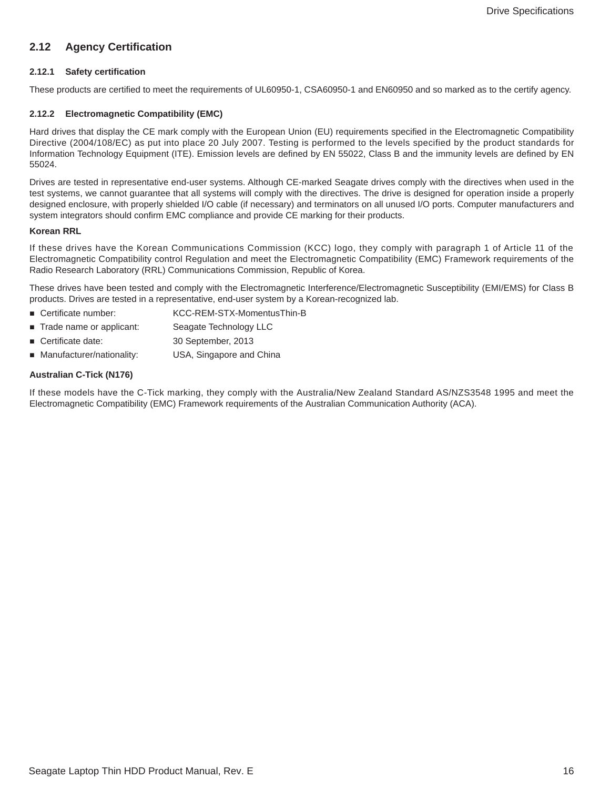## <span id="page-16-0"></span>**2.12 Agency Certification**

#### <span id="page-16-1"></span>**2.12.1 Safety certification**

These products are certified to meet the requirements of UL60950-1, CSA60950-1 and EN60950 and so marked as to the certify agency.

#### <span id="page-16-2"></span>**2.12.2 Electromagnetic Compatibility (EMC)**

Hard drives that display the CE mark comply with the European Union (EU) requirements specified in the Electromagnetic Compatibility Directive (2004/108/EC) as put into place 20 July 2007. Testing is performed to the levels specified by the product standards for Information Technology Equipment (ITE). Emission levels are defined by EN 55022, Class B and the immunity levels are defined by EN 55024.

Drives are tested in representative end-user systems. Although CE-marked Seagate drives comply with the directives when used in the test systems, we cannot guarantee that all systems will comply with the directives. The drive is designed for operation inside a properly designed enclosure, with properly shielded I/O cable (if necessary) and terminators on all unused I/O ports. Computer manufacturers and system integrators should confirm EMC compliance and provide CE marking for their products.

#### **Korean RRL**

If these drives have the Korean Communications Commission (KCC) logo, they comply with paragraph 1 of Article 11 of the Electromagnetic Compatibility control Regulation and meet the Electromagnetic Compatibility (EMC) Framework requirements of the Radio Research Laboratory (RRL) Communications Commission, Republic of Korea.

These drives have been tested and comply with the Electromagnetic Interference/Electromagnetic Susceptibility (EMI/EMS) for Class B products. Drives are tested in a representative, end-user system by a Korean-recognized lab.

- Certificate number: KCC-REM-STX-MomentusThin-B
- Trade name or applicant: Seagate Technology LLC
- Certificate date: 30 September, 2013
- Manufacturer/nationality: USA, Singapore and China

#### **Australian C-Tick (N176)**

If these models have the C-Tick marking, they comply with the Australia/New Zealand Standard AS/NZS3548 1995 and meet the Electromagnetic Compatibility (EMC) Framework requirements of the Australian Communication Authority (ACA).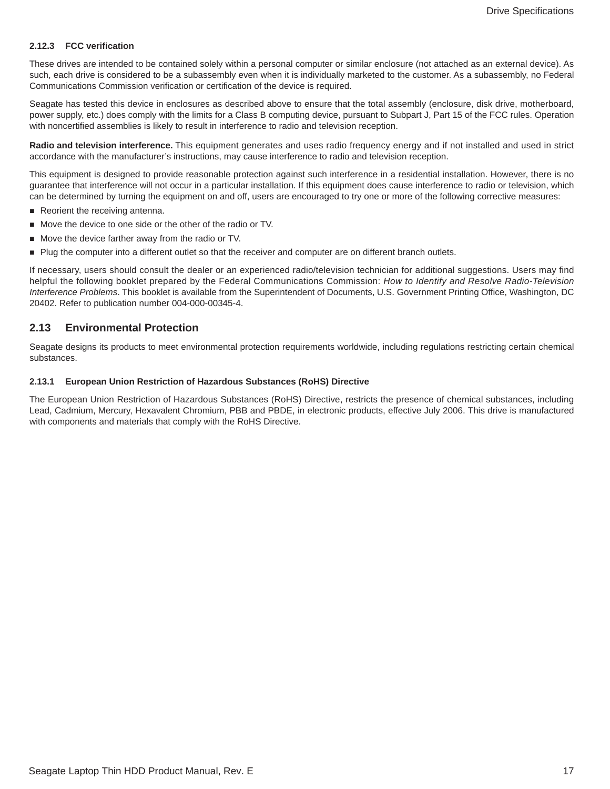#### <span id="page-17-0"></span>**2.12.3 FCC verification**

These drives are intended to be contained solely within a personal computer or similar enclosure (not attached as an external device). As such, each drive is considered to be a subassembly even when it is individually marketed to the customer. As a subassembly, no Federal Communications Commission verification or certification of the device is required.

Seagate has tested this device in enclosures as described above to ensure that the total assembly (enclosure, disk drive, motherboard, power supply, etc.) does comply with the limits for a Class B computing device, pursuant to Subpart J, Part 15 of the FCC rules. Operation with noncertified assemblies is likely to result in interference to radio and television reception.

**Radio and television interference.** This equipment generates and uses radio frequency energy and if not installed and used in strict accordance with the manufacturer's instructions, may cause interference to radio and television reception.

This equipment is designed to provide reasonable protection against such interference in a residential installation. However, there is no guarantee that interference will not occur in a particular installation. If this equipment does cause interference to radio or television, which can be determined by turning the equipment on and off, users are encouraged to try one or more of the following corrective measures:

- Reorient the receiving antenna.
- Move the device to one side or the other of the radio or TV.
- Move the device farther away from the radio or TV.
- Plug the computer into a different outlet so that the receiver and computer are on different branch outlets.

If necessary, users should consult the dealer or an experienced radio/television technician for additional suggestions. Users may find helpful the following booklet prepared by the Federal Communications Commission: *How to Identify and Resolve Radio-Television Interference Problems*. This booklet is available from the Superintendent of Documents, U.S. Government Printing Office, Washington, DC 20402. Refer to publication number 004-000-00345-4.

#### <span id="page-17-1"></span>**2.13 Environmental Protection**

Seagate designs its products to meet environmental protection requirements worldwide, including regulations restricting certain chemical substances.

#### <span id="page-17-2"></span>**2.13.1 European Union Restriction of Hazardous Substances (RoHS) Directive**

The European Union Restriction of Hazardous Substances (RoHS) Directive, restricts the presence of chemical substances, including Lead, Cadmium, Mercury, Hexavalent Chromium, PBB and PBDE, in electronic products, effective July 2006. This drive is manufactured with components and materials that comply with the RoHS Directive.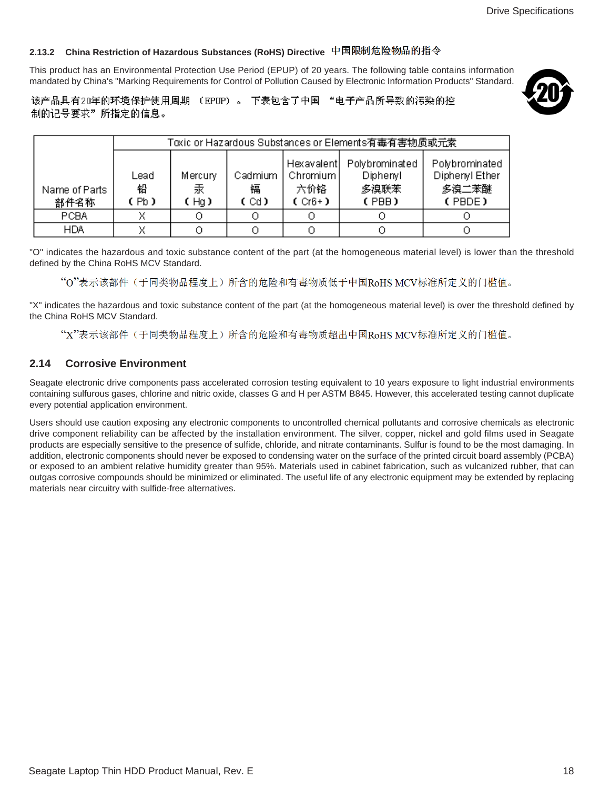## <span id="page-18-0"></span>**2.13.2 China Restriction of Hazardous Substances (RoHS) Directive**

This product has an Environmental Protection Use Period (EPUP) of 20 years. The following table contains information mandated by China's "Marking Requirements for Control of Pollution Caused by Electronic Information Products" Standard.



该产品具有20年的环境保护使用周期 (EPUP)。 下表包含了中国 "电子产品所导致的污染的控 制的记号要求"所指定的信息。

|                       | Toxic or Hazardous Substances or Elements有毒有害物质或元素。 |                      |                      |                                              |                                             |                                                     |
|-----------------------|-----------------------------------------------------|----------------------|----------------------|----------------------------------------------|---------------------------------------------|-----------------------------------------------------|
| Name of Parts<br>部件名称 | Lead<br>铅<br>(Pb)                                   | Mercury<br>汞<br>(Hg) | Cadmium<br>镉<br>(Cd) | Hexavalent<br>Chromium  <br>六价铬<br>$(Cr6+1)$ | Polybrominated<br>Diphenyl<br>多溴联苯<br>(PBB) | Polybrominated<br>Diphenyl Ether<br>多溴二苯醚<br>(PBDE) |
| PCBA                  |                                                     |                      |                      |                                              |                                             |                                                     |
| <b>HDA</b>            |                                                     |                      |                      |                                              |                                             |                                                     |

"O" indicates the hazardous and toxic substance content of the part (at the homogeneous material level) is lower than the threshold defined by the China RoHS MCV Standard.

"O"表示该部件(于同类物品程度上)所含的危险和有毒物质低于中国RoHS MCV标准所定义的门槛值。

"X" indicates the hazardous and toxic substance content of the part (at the homogeneous material level) is over the threshold defined by the China RoHS MCV Standard.

"X"表示该部件(于同类物品程度上)所含的危险和有毒物质超出中国RoHS MCV标准所定义的门槛值。

## <span id="page-18-1"></span>**2.14 Corrosive Environment**

Seagate electronic drive components pass accelerated corrosion testing equivalent to 10 years exposure to light industrial environments containing sulfurous gases, chlorine and nitric oxide, classes G and H per ASTM B845. However, this accelerated testing cannot duplicate every potential application environment.

Users should use caution exposing any electronic components to uncontrolled chemical pollutants and corrosive chemicals as electronic drive component reliability can be affected by the installation environment. The silver, copper, nickel and gold films used in Seagate products are especially sensitive to the presence of sulfide, chloride, and nitrate contaminants. Sulfur is found to be the most damaging. In addition, electronic components should never be exposed to condensing water on the surface of the printed circuit board assembly (PCBA) or exposed to an ambient relative humidity greater than 95%. Materials used in cabinet fabrication, such as vulcanized rubber, that can outgas corrosive compounds should be minimized or eliminated. The useful life of any electronic equipment may be extended by replacing materials near circuitry with sulfide-free alternatives.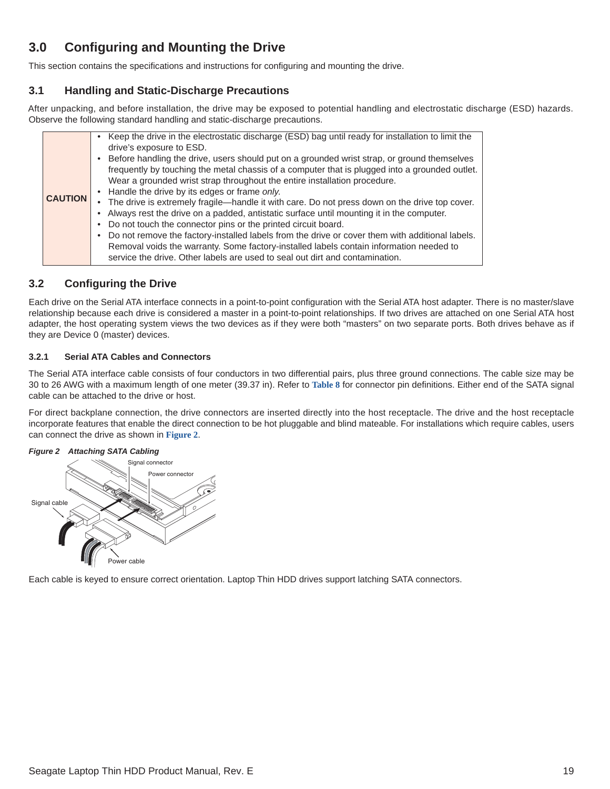# <span id="page-19-0"></span>**3.0 Configuring and Mounting the Drive**

This section contains the specifications and instructions for configuring and mounting the drive.

## <span id="page-19-1"></span>**3.1 Handling and Static-Discharge Precautions**

After unpacking, and before installation, the drive may be exposed to potential handling and electrostatic discharge (ESD) hazards. Observe the following standard handling and static-discharge precautions.

|                | • Keep the drive in the electrostatic discharge (ESD) bag until ready for installation to limit the |
|----------------|-----------------------------------------------------------------------------------------------------|
|                | drive's exposure to ESD.                                                                            |
|                | • Before handling the drive, users should put on a grounded wrist strap, or ground themselves       |
|                | frequently by touching the metal chassis of a computer that is plugged into a grounded outlet.      |
|                | Wear a grounded wrist strap throughout the entire installation procedure.                           |
|                | • Handle the drive by its edges or frame only.                                                      |
| <b>CAUTION</b> | • The drive is extremely fragile—handle it with care. Do not press down on the drive top cover.     |
|                | • Always rest the drive on a padded, antistatic surface until mounting it in the computer.          |
|                | • Do not touch the connector pins or the printed circuit board.                                     |
|                | • Do not remove the factory-installed labels from the drive or cover them with additional labels.   |
|                | Removal voids the warranty. Some factory-installed labels contain information needed to             |
|                |                                                                                                     |
|                | service the drive. Other labels are used to seal out dirt and contamination.                        |

## <span id="page-19-2"></span>**3.2 Configuring the Drive**

Each drive on the Serial ATA interface connects in a point-to-point configuration with the Serial ATA host adapter. There is no master/slave relationship because each drive is considered a master in a point-to-point relationships. If two drives are attached on one Serial ATA host adapter, the host operating system views the two devices as if they were both "masters" on two separate ports. Both drives behave as if they are Device 0 (master) devices.

## <span id="page-19-3"></span>**3.2.1 Serial ATA Cables and Connectors**

The Serial ATA interface cable consists of four conductors in two differential pairs, plus three ground connections. The cable size may be 30 to 26 AWG with a maximum length of one meter (39.37 in). Refer to **Table 8** for connector pin definitions. Either end of the SATA signal cable can be attached to the drive or host.

For direct backplane connection, the drive connectors are inserted directly into the host receptacle. The drive and the host receptacle incorporate features that enable the direct connection to be hot pluggable and blind mateable. For installations which require cables, users can connect the drive as shown in **[Figure 2](#page-19-4)**.

<span id="page-19-4"></span>

Each cable is keyed to ensure correct orientation. Laptop Thin HDD drives support latching SATA connectors.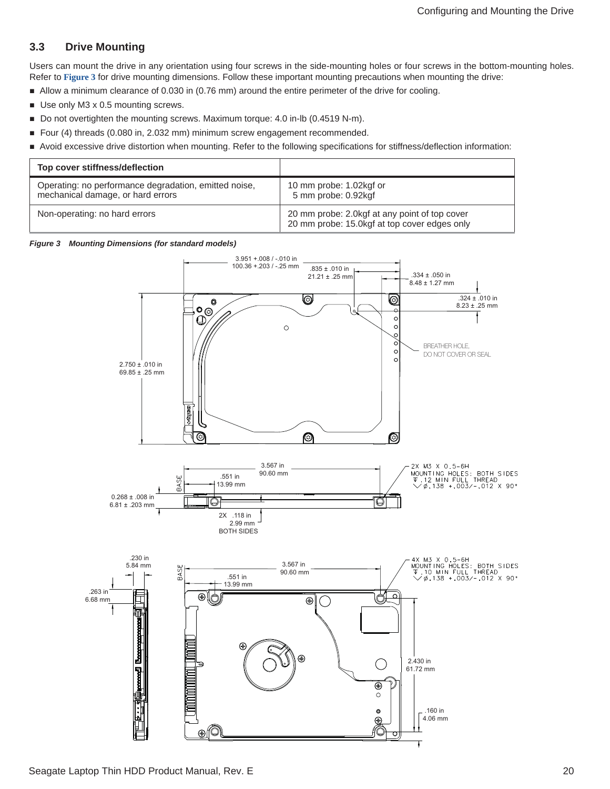## <span id="page-20-0"></span>**3.3 Drive Mounting**

Users can mount the drive in any orientation using four screws in the side-mounting holes or four screws in the bottom-mounting holes. Refer to **[Figure 3](#page-20-1)** for drive mounting dimensions. Follow these important mounting precautions when mounting the drive:

- Allow a minimum clearance of 0.030 in (0.76 mm) around the entire perimeter of the drive for cooling.
- Use only M3 x 0.5 mounting screws.
- Do not overtighten the mounting screws. Maximum torque: 4.0 in-lb (0.4519 N-m).
- Four (4) threads (0.080 in, 2.032 mm) minimum screw engagement recommended.
- Avoid excessive drive distortion when mounting. Refer to the following specifications for stiffness/deflection information:

| Top cover stiffness/deflection                                                             |                                                                                               |
|--------------------------------------------------------------------------------------------|-----------------------------------------------------------------------------------------------|
| Operating: no performance degradation, emitted noise,<br>mechanical damage, or hard errors | 10 mm probe: 1.02kgf or<br>5 mm probe: 0.92kgf                                                |
| Non-operating: no hard errors                                                              | 20 mm probe: 2.0kgf at any point of top cover<br>20 mm probe: 15.0kgf at top cover edges only |

#### <span id="page-20-1"></span>*Figure 3 Mounting Dimensions (for standard models)*

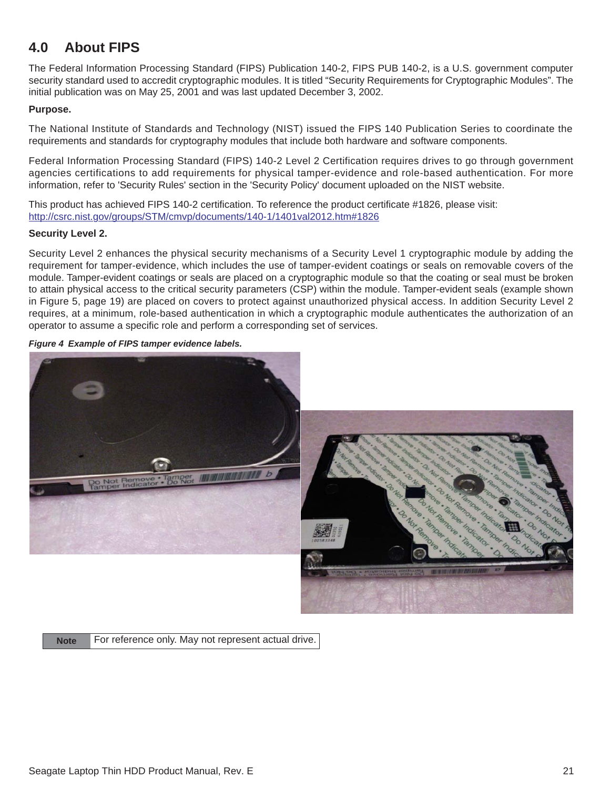# <span id="page-21-0"></span>**4.0 About FIPS**

The Federal Information Processing Standard (FIPS) Publication 140-2, FIPS PUB 140-2, is a U.S. government computer security standard used to accredit cryptographic modules. It is titled "Security Requirements for Cryptographic Modules". The initial publication was on May 25, 2001 and was last updated December 3, 2002.

## **Purpose.**

The National Institute of Standards and Technology (NIST) issued the FIPS 140 Publication Series to coordinate the requirements and standards for cryptography modules that include both hardware and software components.

Federal Information Processing Standard (FIPS) 140-2 Level 2 Certification requires drives to go through government agencies certifications to add requirements for physical tamper-evidence and role-based authentication. For more information, refer to 'Security Rules' section in the 'Security Policy' document uploaded on the NIST website.

[This product has achieved FIPS 140-2 certification. To reference the product certificate #1826, please visit:](http://csrc.nist.gov/groups/STM/cmvp/documents/140-1/1401val2012.htm#1826)  [h](http://csrc.nist.gov/groups/STM/cmvp/documents/140-1/1401val2012.htm#1826)ttp://csrc.nist.gov/groups/STM/cmvp/documents/140-1/1401val2012.htm#1826

## **Security Level 2.**

Security Level 2 enhances the physical security mechanisms of a Security Level 1 cryptographic module by adding the requirement for tamper-evidence, which includes the use of tamper-evident coatings or seals on removable covers of the module. Tamper-evident coatings or seals are placed on a cryptographic module so that the coating or seal must be broken to attain physical access to the critical security parameters (CSP) within the module. Tamper-evident seals (example shown in Figure 5, page 19) are placed on covers to protect against unauthorized physical access. In addition Security Level 2 requires, at a minimum, role-based authentication in which a cryptographic module authenticates the authorization of an operator to assume a specific role and perform a corresponding set of services.

#### <span id="page-21-1"></span>*Figure 4 Example of FIPS tamper evidence labels.*



Note For reference only. May not represent actual drive.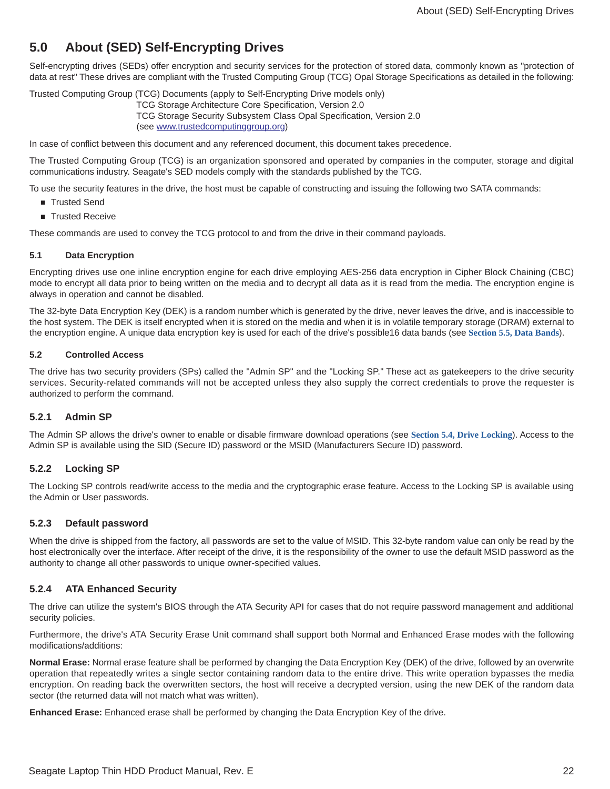# <span id="page-22-0"></span>**5.0 About (SED) Self-Encrypting Drives**

Self-encrypting drives (SEDs) offer encryption and security services for the protection of stored data, commonly known as "protection of data at rest" These drives are compliant with the Trusted Computing Group (TCG) Opal Storage Specifications as detailed in the following:

Trusted Computing Group (TCG) Documents (apply to Self-Encrypting Drive models only)

TCG Storage Architecture Core Specification, Version 2.0 TCG Storage Security Subsystem Class Opal Specification, Version 2.0 [\(see](http://www.trustedcomputinggroup.org) www.trustedcomputinggroup.org)

In case of conflict between this document and any referenced document, this document takes precedence.

The Trusted Computing Group (TCG) is an organization sponsored and operated by companies in the computer, storage and digital communications industry. Seagate's SED models comply with the standards published by the TCG.

To use the security features in the drive, the host must be capable of constructing and issuing the following two SATA commands:

- Trusted Send
- **Trusted Receive**

These commands are used to convey the TCG protocol to and from the drive in their command payloads.

#### <span id="page-22-1"></span>**5.1 Data Encryption**

Encrypting drives use one inline encryption engine for each drive employing AES-256 data encryption in Cipher Block Chaining (CBC) mode to encrypt all data prior to being written on the media and to decrypt all data as it is read from the media. The encryption engine is always in operation and cannot be disabled.

The 32-byte Data Encryption Key (DEK) is a random number which is generated by the drive, never leaves the drive, and is inaccessible to the host system. The DEK is itself encrypted when it is stored on the media and when it is in volatile temporary storage (DRAM) external to the encryption engine. A unique data encryption key is used for each of the drive's possible16 data bands (see **[Section 5.5, Data Bands](#page-23-2)**).

#### <span id="page-22-2"></span>**5.2 Controlled Access**

The drive has two security providers (SPs) called the "Admin SP" and the "Locking SP." These act as gatekeepers to the drive security services. Security-related commands will not be accepted unless they also supply the correct credentials to prove the requester is authorized to perform the command.

#### <span id="page-22-3"></span>**5.2.1 Admin SP**

The Admin SP allows the drive's owner to enable or disable firmware download operations (see **[Section 5.4, Drive Locking](#page-23-1)**). Access to the Admin SP is available using the SID (Secure ID) password or the MSID (Manufacturers Secure ID) password.

## <span id="page-22-4"></span>**5.2.2 Locking SP**

The Locking SP controls read/write access to the media and the cryptographic erase feature. Access to the Locking SP is available using the Admin or User passwords.

#### <span id="page-22-5"></span>**5.2.3 Default password**

When the drive is shipped from the factory, all passwords are set to the value of MSID. This 32-byte random value can only be read by the host electronically over the interface. After receipt of the drive, it is the responsibility of the owner to use the default MSID password as the authority to change all other passwords to unique owner-specified values.

#### <span id="page-22-6"></span>**5.2.4 ATA Enhanced Security**

The drive can utilize the system's BIOS through the ATA Security API for cases that do not require password management and additional security policies.

Furthermore, the drive's ATA Security Erase Unit command shall support both Normal and Enhanced Erase modes with the following modifications/additions:

**Normal Erase:** Normal erase feature shall be performed by changing the Data Encryption Key (DEK) of the drive, followed by an overwrite operation that repeatedly writes a single sector containing random data to the entire drive. This write operation bypasses the media encryption. On reading back the overwritten sectors, the host will receive a decrypted version, using the new DEK of the random data sector (the returned data will not match what was written).

**Enhanced Erase:** Enhanced erase shall be performed by changing the Data Encryption Key of the drive.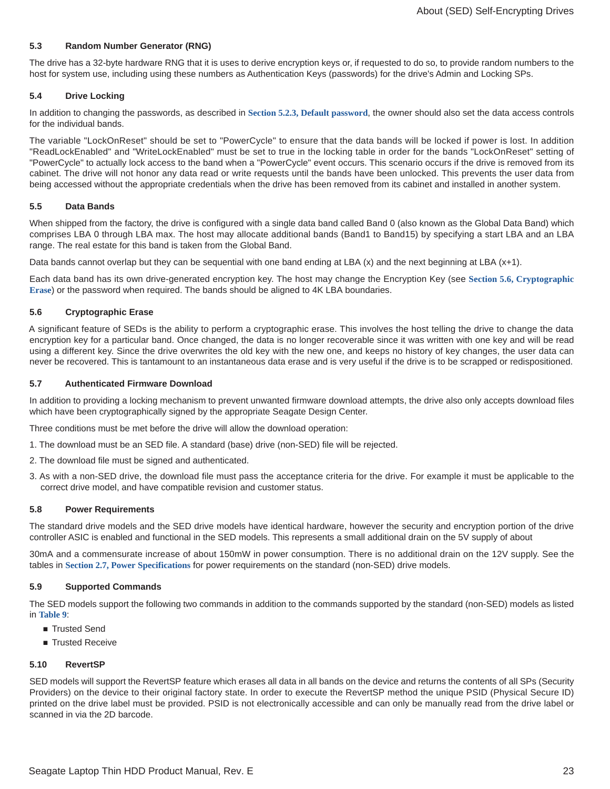#### <span id="page-23-0"></span>**5.3 Random Number Generator (RNG)**

The drive has a 32-byte hardware RNG that it is uses to derive encryption keys or, if requested to do so, to provide random numbers to the host for system use, including using these numbers as Authentication Keys (passwords) for the drive's Admin and Locking SPs.

#### <span id="page-23-1"></span>**5.4 Drive Locking**

In addition to changing the passwords, as described in **[Section 5.2.3, Default password](#page-22-5)**, the owner should also set the data access controls for the individual bands.

The variable "LockOnReset" should be set to "PowerCycle" to ensure that the data bands will be locked if power is lost. In addition "ReadLockEnabled" and "WriteLockEnabled" must be set to true in the locking table in order for the bands "LockOnReset" setting of "PowerCycle" to actually lock access to the band when a "PowerCycle" event occurs. This scenario occurs if the drive is removed from its cabinet. The drive will not honor any data read or write requests until the bands have been unlocked. This prevents the user data from being accessed without the appropriate credentials when the drive has been removed from its cabinet and installed in another system.

#### <span id="page-23-2"></span>**5.5 Data Bands**

When shipped from the factory, the drive is configured with a single data band called Band 0 (also known as the Global Data Band) which comprises LBA 0 through LBA max. The host may allocate additional bands (Band1 to Band15) by specifying a start LBA and an LBA range. The real estate for this band is taken from the Global Band.

Data bands cannot overlap but they can be sequential with one band ending at LBA (x) and the next beginning at LBA (x+1).

Each data band has its own drive-generated encryption key. The host may change the Encryption Key (see **[Section 5.6, Cryptographic](#page-23-3) [Erase](#page-23-3)**) or the password when required. The bands should be aligned to 4K LBA boundaries.

#### <span id="page-23-3"></span>**5.6 Cryptographic Erase**

A significant feature of SEDs is the ability to perform a cryptographic erase. This involves the host telling the drive to change the data encryption key for a particular band. Once changed, the data is no longer recoverable since it was written with one key and will be read using a different key. Since the drive overwrites the old key with the new one, and keeps no history of key changes, the user data can never be recovered. This is tantamount to an instantaneous data erase and is very useful if the drive is to be scrapped or redispositioned.

#### <span id="page-23-4"></span>**5.7 Authenticated Firmware Download**

In addition to providing a locking mechanism to prevent unwanted firmware download attempts, the drive also only accepts download files which have been cryptographically signed by the appropriate Seagate Design Center.

Three conditions must be met before the drive will allow the download operation:

- 1. The download must be an SED file. A standard (base) drive (non-SED) file will be rejected.
- 2. The download file must be signed and authenticated.
- 3. As with a non-SED drive, the download file must pass the acceptance criteria for the drive. For example it must be applicable to the correct drive model, and have compatible revision and customer status.

#### <span id="page-23-5"></span>**5.8 Power Requirements**

The standard drive models and the SED drive models have identical hardware, however the security and encryption portion of the drive controller ASIC is enabled and functional in the SED models. This represents a small additional drain on the 5V supply of about

30mA and a commensurate increase of about 150mW in power consumption. There is no additional drain on the 12V supply. See the tables in **[Section 2.7, Power Specifications](#page-10-2)** for power requirements on the standard (non-SED) drive models.

#### <span id="page-23-6"></span>**5.9 Supported Commands**

The SED models support the following two commands in addition to the commands supported by the standard (non-SED) models as listed in **[Table 9](#page-25-1)**:

- Trusted Send
- Trusted Receive

#### <span id="page-23-7"></span>**5.10 RevertSP**

SED models will support the RevertSP feature which erases all data in all bands on the device and returns the contents of all SPs (Security Providers) on the device to their original factory state. In order to execute the RevertSP method the unique PSID (Physical Secure ID) printed on the drive label must be provided. PSID is not electronically accessible and can only be manually read from the drive label or scanned in via the 2D barcode.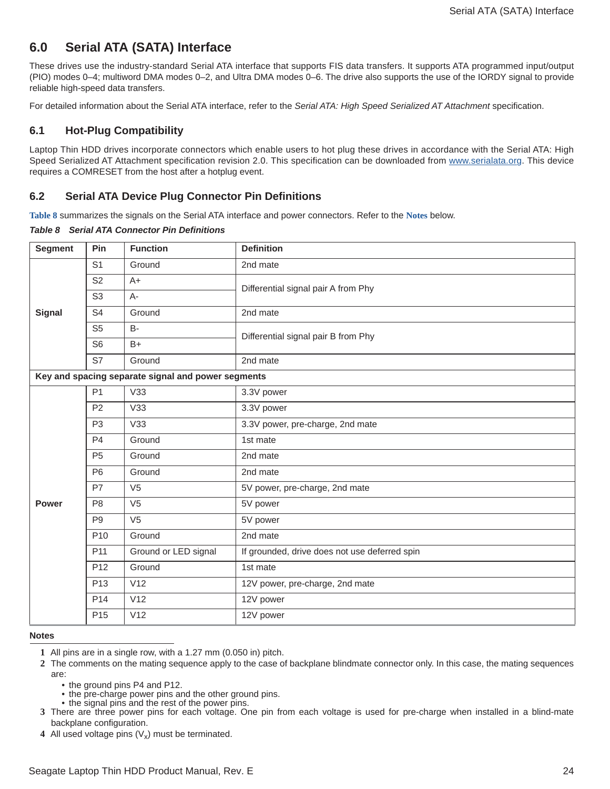## <span id="page-24-0"></span>**6.0 Serial ATA (SATA) Interface**

These drives use the industry-standard Serial ATA interface that supports FIS data transfers. It supports ATA programmed input/output (PIO) modes 0–4; multiword DMA modes 0–2, and Ultra DMA modes 0–6. The drive also supports the use of the IORDY signal to provide reliable high-speed data transfers.

For detailed information about the Serial ATA interface, refer to the *Serial ATA: High Speed Serialized AT Attachment* specification.

## <span id="page-24-1"></span>**6.1 Hot-Plug Compatibility**

[Laptop Thin HDD drives incorporate connectors which enable users to hot plug these drives in accordance with the Serial ATA: High](http://www.serialata.org/ ) [Speed Serialized AT Attachment specification revision 2.0. This specification can be downloaded from](http://www.serialata.org/ ) www.serialata.org. This device requires a COMRESET from the host after a hotplug event.

## <span id="page-24-2"></span>**6.2 Serial ATA Device Plug Connector Pin Definitions**

**Table 8** summarizes the signals on the Serial ATA interface and power connectors. Refer to the **[Notes](#page-24-3)** below.

*Table 8 Serial ATA Connector Pin Definitions*

| <b>Segment</b> | Pin             | <b>Function</b>                                    | <b>Definition</b>                             |  |
|----------------|-----------------|----------------------------------------------------|-----------------------------------------------|--|
|                | S <sub>1</sub>  | Ground                                             | 2nd mate                                      |  |
|                | S <sub>2</sub>  | $A+$                                               | Differential signal pair A from Phy           |  |
|                | S <sub>3</sub>  | $A -$                                              |                                               |  |
| <b>Signal</b>  | S <sub>4</sub>  | Ground                                             | 2nd mate                                      |  |
|                | S <sub>5</sub>  | <b>B-</b>                                          | Differential signal pair B from Phy           |  |
|                | S <sub>6</sub>  | $B+$                                               |                                               |  |
|                | S7              | Ground                                             | 2nd mate                                      |  |
|                |                 | Key and spacing separate signal and power segments |                                               |  |
|                | P <sub>1</sub>  | V33                                                | 3.3V power                                    |  |
|                | P <sub>2</sub>  | V33                                                | 3.3V power                                    |  |
|                | P <sub>3</sub>  | V33                                                | 3.3V power, pre-charge, 2nd mate              |  |
|                | P <sub>4</sub>  | Ground                                             | 1st mate                                      |  |
|                | P <sub>5</sub>  | Ground                                             | 2nd mate                                      |  |
|                | P <sub>6</sub>  | Ground                                             | 2nd mate                                      |  |
|                | P7              | V <sub>5</sub>                                     | 5V power, pre-charge, 2nd mate                |  |
| <b>Power</b>   | P <sub>8</sub>  | V <sub>5</sub>                                     | 5V power                                      |  |
|                | P <sub>9</sub>  | V <sub>5</sub>                                     | 5V power                                      |  |
|                | P <sub>10</sub> | Ground                                             | 2nd mate                                      |  |
|                | P11             | Ground or LED signal                               | If grounded, drive does not use deferred spin |  |
|                | P <sub>12</sub> | Ground                                             | 1st mate                                      |  |
|                | P <sub>13</sub> | V12                                                | 12V power, pre-charge, 2nd mate               |  |
|                | P <sub>14</sub> | V12                                                | 12V power                                     |  |
|                | P <sub>15</sub> | V12                                                | 12V power                                     |  |

#### <span id="page-24-3"></span>**Notes**

- the ground pins P4 and P12.
- the pre-charge power pins and the other ground pins.
- the signal pins and the rest of the power pins.
- **3** There are three power pins for each voltage. One pin from each voltage is used for pre-charge when installed in a blind-mate backplane configuration.
- **4** All used voltage pins  $(V_x)$  must be terminated.

**<sup>1</sup>** All pins are in a single row, with a 1.27 mm (0.050 in) pitch.

**<sup>2</sup>** The comments on the mating sequence apply to the case of backplane blindmate connector only. In this case, the mating sequences are: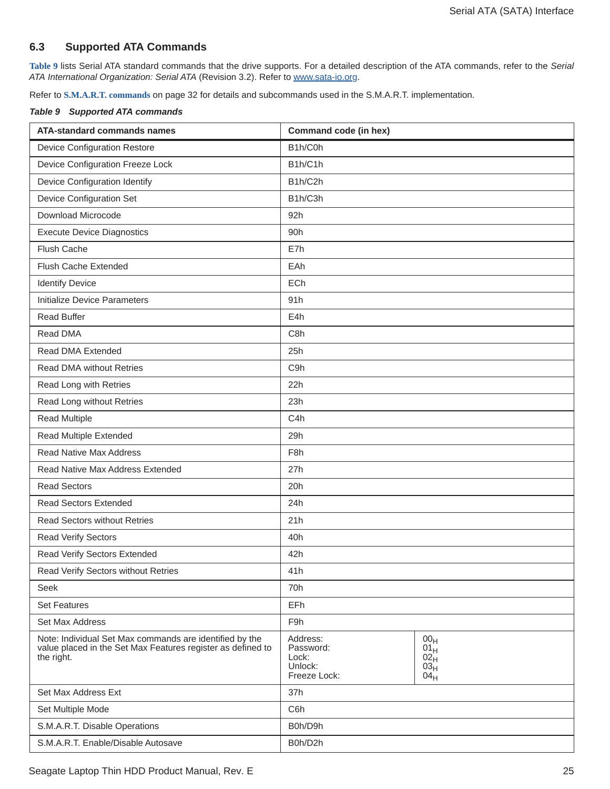## <span id="page-25-0"></span>**6.3 Supported ATA Commands**

**[Table 9](#page-25-1)** lists Serial ATA standard commands that the drive supports. For a detailed description of the ATA commands, refer to the *Serial ATA International Organization: Serial ATA* (Revision 3.2). Refer to [www.sata-io.org](http://www.sata-io.org/ ).

Refer to **[S.M.A.R.T. commands](#page-32-0)** on page 32 for details and subcommands used in the S.M.A.R.T. implementation.

<span id="page-25-1"></span>

|  | <b>Table 9 Supported ATA commands</b> |
|--|---------------------------------------|
|  |                                       |

| <b>ATA-standard commands names</b>                                                                                                   | Command code (in hex)                                     |                                                                           |
|--------------------------------------------------------------------------------------------------------------------------------------|-----------------------------------------------------------|---------------------------------------------------------------------------|
| <b>Device Configuration Restore</b>                                                                                                  | B1h/C0h                                                   |                                                                           |
| Device Configuration Freeze Lock                                                                                                     | B1h/C1h                                                   |                                                                           |
| Device Configuration Identify                                                                                                        | B1h/C2h                                                   |                                                                           |
| Device Configuration Set                                                                                                             | B1h/C3h                                                   |                                                                           |
| Download Microcode                                                                                                                   | 92h                                                       |                                                                           |
| <b>Execute Device Diagnostics</b>                                                                                                    | 90h                                                       |                                                                           |
| <b>Flush Cache</b>                                                                                                                   | E7h                                                       |                                                                           |
| Flush Cache Extended                                                                                                                 | EAh                                                       |                                                                           |
| <b>Identify Device</b>                                                                                                               | ECh                                                       |                                                                           |
| <b>Initialize Device Parameters</b>                                                                                                  | 91h                                                       |                                                                           |
| <b>Read Buffer</b>                                                                                                                   | E4h                                                       |                                                                           |
| Read DMA                                                                                                                             | C8h                                                       |                                                                           |
| Read DMA Extended                                                                                                                    | 25h                                                       |                                                                           |
| <b>Read DMA without Retries</b>                                                                                                      | C <sub>9</sub> h                                          |                                                                           |
| Read Long with Retries                                                                                                               | 22h                                                       |                                                                           |
| Read Long without Retries                                                                                                            | 23h                                                       |                                                                           |
| <b>Read Multiple</b>                                                                                                                 | C <sub>4</sub> h                                          |                                                                           |
| Read Multiple Extended                                                                                                               | 29h                                                       |                                                                           |
| <b>Read Native Max Address</b>                                                                                                       | F <sub>8</sub> h                                          |                                                                           |
| Read Native Max Address Extended                                                                                                     | 27h                                                       |                                                                           |
| <b>Read Sectors</b>                                                                                                                  | 20h                                                       |                                                                           |
| <b>Read Sectors Extended</b>                                                                                                         | 24h                                                       |                                                                           |
| <b>Read Sectors without Retries</b>                                                                                                  | 21h                                                       |                                                                           |
| <b>Read Verify Sectors</b>                                                                                                           | 40h                                                       |                                                                           |
| Read Verify Sectors Extended                                                                                                         | 42h                                                       |                                                                           |
| Read Verify Sectors without Retries                                                                                                  | 41h                                                       |                                                                           |
| Seek                                                                                                                                 | 70h                                                       |                                                                           |
| <b>Set Features</b>                                                                                                                  | <b>EFh</b>                                                |                                                                           |
| Set Max Address                                                                                                                      | F9h                                                       |                                                                           |
| Note: Individual Set Max commands are identified by the<br>value placed in the Set Max Features register as defined to<br>the right. | Address:<br>Password:<br>Lock:<br>Unlock:<br>Freeze Lock: | 00 <sub>H</sub><br>$01_H$<br>02 <sub>H</sub><br>03 <sub>H</sub><br>$04_H$ |
| Set Max Address Ext                                                                                                                  | 37h                                                       |                                                                           |
| Set Multiple Mode                                                                                                                    | C6h                                                       |                                                                           |
| S.M.A.R.T. Disable Operations                                                                                                        | B0h/D9h                                                   |                                                                           |
| S.M.A.R.T. Enable/Disable Autosave                                                                                                   | B0h/D2h                                                   |                                                                           |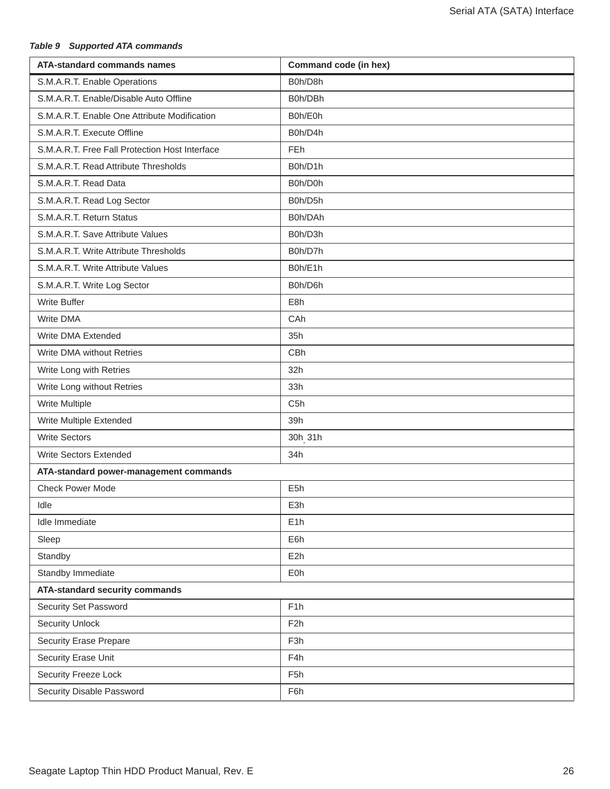## *Table 9 Supported ATA commands*

| <b>ATA-standard commands names</b>             | Command code (in hex) |  |
|------------------------------------------------|-----------------------|--|
| S.M.A.R.T. Enable Operations                   | B0h/D8h               |  |
| S.M.A.R.T. Enable/Disable Auto Offline         | B0h/DBh               |  |
| S.M.A.R.T. Enable One Attribute Modification   | B0h/E0h               |  |
| S.M.A.R.T. Execute Offline                     | B0h/D4h               |  |
| S.M.A.R.T. Free Fall Protection Host Interface | <b>FEh</b>            |  |
| S.M.A.R.T. Read Attribute Thresholds           | B0h/D1h               |  |
| S.M.A.R.T. Read Data                           | B0h/D0h               |  |
| S.M.A.R.T. Read Log Sector                     | B0h/D5h               |  |
| S.M.A.R.T. Return Status                       | B0h/DAh               |  |
| S.M.A.R.T. Save Attribute Values               | B0h/D3h               |  |
| S.M.A.R.T. Write Attribute Thresholds          | B0h/D7h               |  |
| S.M.A.R.T. Write Attribute Values              | B0h/E1h               |  |
| S.M.A.R.T. Write Log Sector                    | B0h/D6h               |  |
| <b>Write Buffer</b>                            | E8h                   |  |
| Write DMA                                      | CAh                   |  |
| Write DMA Extended                             | 35h                   |  |
| Write DMA without Retries                      | <b>CBh</b>            |  |
| Write Long with Retries                        | 32h                   |  |
| Write Long without Retries                     | 33h                   |  |
| Write Multiple                                 | C <sub>5</sub> h      |  |
| Write Multiple Extended                        | 39h                   |  |
| <b>Write Sectors</b>                           | 30h <sub>, 31h</sub>  |  |
| Write Sectors Extended                         | 34h                   |  |
| ATA-standard power-management commands         |                       |  |
| <b>Check Power Mode</b>                        | E <sub>5</sub> h      |  |
| Idle                                           | E3h                   |  |
| Idle Immediate                                 | E <sub>1</sub> h      |  |
| Sleep                                          | E6h                   |  |
| Standby                                        | E <sub>2</sub> h      |  |
| Standby Immediate                              | E0h                   |  |
| <b>ATA-standard security commands</b>          |                       |  |
| Security Set Password                          | F <sub>1</sub> h      |  |
| <b>Security Unlock</b>                         | F <sub>2</sub> h      |  |
| <b>Security Erase Prepare</b>                  | F <sub>3</sub> h      |  |
| Security Erase Unit                            | F4h                   |  |
| Security Freeze Lock                           | F <sub>5</sub> h      |  |
| Security Disable Password                      | F6h                   |  |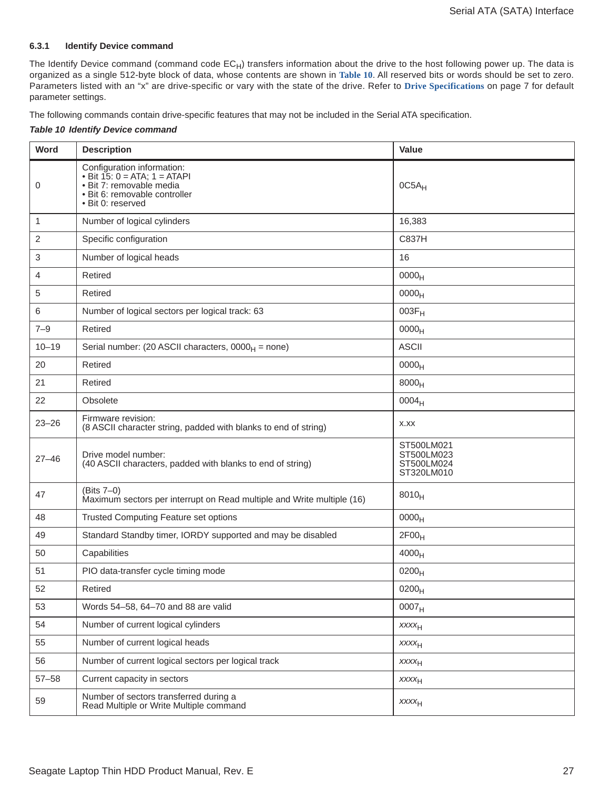#### <span id="page-27-0"></span>**6.3.1 Identify Device command**

The Identify Device command (command code  $EC_H$ ) transfers information about the drive to the host following power up. The data is organized as a single 512-byte block of data, whose contents are shown in **[Table 10](#page-27-1)**. All reserved bits or words should be set to zero. Parameters listed with an "x" are drive-specific or vary with the state of the drive. Refer to **[Drive Specifications](#page-7-0)** on page 7 for default parameter settings.

The following commands contain drive-specific features that may not be included in the Serial ATA specification.

#### <span id="page-27-1"></span>*Table 10 Identify Device command*

| Word      | <b>Description</b>                                                                                                                                | Value                                                |
|-----------|---------------------------------------------------------------------------------------------------------------------------------------------------|------------------------------------------------------|
| 0         | Configuration information:<br>• Bit $15: 0 = ATA$ ; $1 = ATAPI$<br>· Bit 7: removable media<br>· Bit 6: removable controller<br>· Bit 0: reserved | $0C5A_H$                                             |
| 1         | Number of logical cylinders                                                                                                                       | 16,383                                               |
| 2         | Specific configuration                                                                                                                            | C837H                                                |
| 3         | Number of logical heads                                                                                                                           | 16                                                   |
| 4         | Retired                                                                                                                                           | 0000 <sub>H</sub>                                    |
| 5         | Retired                                                                                                                                           | 0000 <sub>H</sub>                                    |
| 6         | Number of logical sectors per logical track: 63                                                                                                   | $003F_H$                                             |
| $7 - 9$   | Retired                                                                                                                                           | 0000 <sub>H</sub>                                    |
| $10 - 19$ | Serial number: (20 ASCII characters, $0000_H$ = none)                                                                                             | <b>ASCII</b>                                         |
| 20        | Retired                                                                                                                                           | 0000 <sub>H</sub>                                    |
| 21        | Retired                                                                                                                                           | 8000 <sub>H</sub>                                    |
| 22        | Obsolete                                                                                                                                          | 0004 <sub>H</sub>                                    |
| $23 - 26$ | Firmware revision:<br>(8 ASCII character string, padded with blanks to end of string)                                                             | X.XX                                                 |
| $27 - 46$ | Drive model number:<br>(40 ASCII characters, padded with blanks to end of string)                                                                 | ST500LM021<br>ST500LM023<br>ST500LM024<br>ST320LM010 |
| 47        | $(Bits 7-0)$<br>Maximum sectors per interrupt on Read multiple and Write multiple (16)                                                            | $8010_H$                                             |
| 48        | <b>Trusted Computing Feature set options</b>                                                                                                      | 0000 <sub>H</sub>                                    |
| 49        | Standard Standby timer, IORDY supported and may be disabled                                                                                       | 2F00 <sub>H</sub>                                    |
| 50        | Capabilities                                                                                                                                      | 4000 <sub>H</sub>                                    |
| 51        | PIO data-transfer cycle timing mode                                                                                                               | 0200 <sub>H</sub>                                    |
| 52        | Retired                                                                                                                                           | $0200_H$                                             |
| 53        | Words 54-58, 64-70 and 88 are valid                                                                                                               | 0007 <sub>H</sub>                                    |
| 54        | Number of current logical cylinders                                                                                                               | <b>XXXXH</b>                                         |
| 55        | Number of current logical heads                                                                                                                   | <b>XXXXH</b>                                         |
| 56        | Number of current logical sectors per logical track                                                                                               | $xxxx_{H}$                                           |
| $57 - 58$ | Current capacity in sectors                                                                                                                       | <b>XXXXH</b>                                         |
| 59        | Number of sectors transferred during a<br>Read Multiple or Write Multiple command                                                                 | $xxxx_{H}$                                           |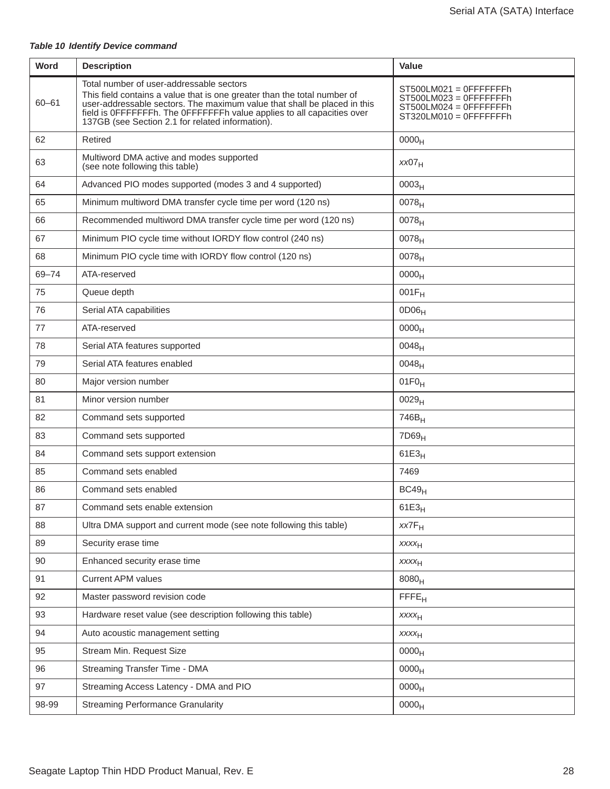#### *Table 10 Identify Device command*

| <b>Word</b> | <b>Description</b>                                                                                                                                                                                                                                                                                                             | <b>Value</b>                                                                                         |
|-------------|--------------------------------------------------------------------------------------------------------------------------------------------------------------------------------------------------------------------------------------------------------------------------------------------------------------------------------|------------------------------------------------------------------------------------------------------|
| $60 - 61$   | Total number of user-addressable sectors<br>This field contains a value that is one greater than the total number of<br>user-addressable sectors. The maximum value that shall be placed in this<br>field is OFFFFFFFh. The OFFFFFFFh value applies to all capacities over<br>137GB (see Section 2.1 for related information). | $ST500LM021 = OFFFFFF$<br>$ST500LM023 = OFFFFFF$<br>$ST500LM024 = OFFFFFF$<br>$ST320LM010 = OFFFFFF$ |
| 62          | Retired                                                                                                                                                                                                                                                                                                                        | 0000 <sub>H</sub>                                                                                    |
| 63          | Multiword DMA active and modes supported<br>(see note following this table)                                                                                                                                                                                                                                                    | xx07 <sub>H</sub>                                                                                    |
| 64          | Advanced PIO modes supported (modes 3 and 4 supported)                                                                                                                                                                                                                                                                         | 0003 <sub>H</sub>                                                                                    |
| 65          | Minimum multiword DMA transfer cycle time per word (120 ns)                                                                                                                                                                                                                                                                    | $0078_H$                                                                                             |
| 66          | Recommended multiword DMA transfer cycle time per word (120 ns)                                                                                                                                                                                                                                                                | 0078 <sub>H</sub>                                                                                    |
| 67          | Minimum PIO cycle time without IORDY flow control (240 ns)                                                                                                                                                                                                                                                                     | $0078_H$                                                                                             |
| 68          | Minimum PIO cycle time with IORDY flow control (120 ns)                                                                                                                                                                                                                                                                        | 0078 <sub>H</sub>                                                                                    |
| 69-74       | ATA-reserved                                                                                                                                                                                                                                                                                                                   | 0000 <sub>H</sub>                                                                                    |
| 75          | Queue depth                                                                                                                                                                                                                                                                                                                    | $001F_H$                                                                                             |
| 76          | Serial ATA capabilities                                                                                                                                                                                                                                                                                                        | 0D06 <sub>H</sub>                                                                                    |
| 77          | ATA-reserved                                                                                                                                                                                                                                                                                                                   | 0000 <sub>H</sub>                                                                                    |
| 78          | Serial ATA features supported                                                                                                                                                                                                                                                                                                  | $0048_H$                                                                                             |
| 79          | Serial ATA features enabled                                                                                                                                                                                                                                                                                                    | $0048_H$                                                                                             |
| 80          | Major version number                                                                                                                                                                                                                                                                                                           | $01F0_H$                                                                                             |
| 81          | Minor version number                                                                                                                                                                                                                                                                                                           | 0029 <sub>H</sub>                                                                                    |
| 82          | Command sets supported                                                                                                                                                                                                                                                                                                         | 746B <sub>H</sub>                                                                                    |
| 83          | Command sets supported                                                                                                                                                                                                                                                                                                         | 7D69 <sub>H</sub>                                                                                    |
| 84          | Command sets support extension                                                                                                                                                                                                                                                                                                 | $61E3_H$                                                                                             |
| 85          | Command sets enabled                                                                                                                                                                                                                                                                                                           | 7469                                                                                                 |
| 86          | Command sets enabled                                                                                                                                                                                                                                                                                                           | BC49 <sub>H</sub>                                                                                    |
| 87          | Command sets enable extension                                                                                                                                                                                                                                                                                                  | $61E3_H$                                                                                             |
| 88          | Ultra DMA support and current mode (see note following this table)                                                                                                                                                                                                                                                             | $xx7F_H$                                                                                             |
| 89          | Security erase time                                                                                                                                                                                                                                                                                                            | <b>XXXXH</b>                                                                                         |
| 90          | Enhanced security erase time                                                                                                                                                                                                                                                                                                   | <b>XXXXH</b>                                                                                         |
| 91          | <b>Current APM values</b>                                                                                                                                                                                                                                                                                                      | 8080 <sub>H</sub>                                                                                    |
| 92          | Master password revision code                                                                                                                                                                                                                                                                                                  | FFE <sub>H</sub>                                                                                     |
| 93          | Hardware reset value (see description following this table)                                                                                                                                                                                                                                                                    | <b>XXXXH</b>                                                                                         |
| 94          | Auto acoustic management setting                                                                                                                                                                                                                                                                                               | <b>XXXXH</b>                                                                                         |
| 95          | Stream Min. Request Size                                                                                                                                                                                                                                                                                                       | 0000 <sub>H</sub>                                                                                    |
| 96          | Streaming Transfer Time - DMA                                                                                                                                                                                                                                                                                                  | 0000 <sub>H</sub>                                                                                    |
| 97          | Streaming Access Latency - DMA and PIO                                                                                                                                                                                                                                                                                         | 0000 <sub>H</sub>                                                                                    |
| 98-99       | <b>Streaming Performance Granularity</b>                                                                                                                                                                                                                                                                                       | 0000 <sub>H</sub>                                                                                    |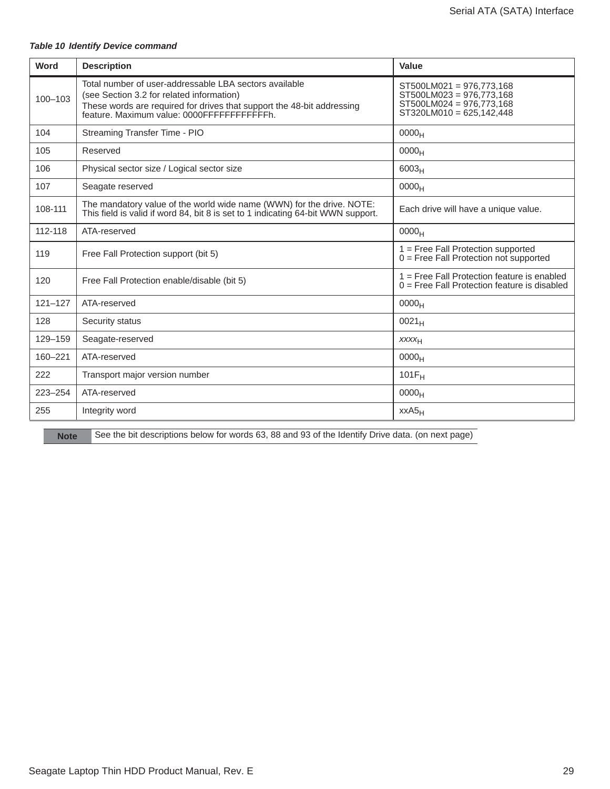#### *Table 10 Identify Device command*

| Word        | <b>Description</b>                                                                                                                                                                                                          | Value                                                                                                          |
|-------------|-----------------------------------------------------------------------------------------------------------------------------------------------------------------------------------------------------------------------------|----------------------------------------------------------------------------------------------------------------|
| $100 - 103$ | Total number of user-addressable LBA sectors available<br>(see Section 3.2 for related information)<br>These words are required for drives that support the 48-bit addressing<br>feature. Maximum value: 0000FFFFFFFFFFFFh. | ST500LM021 = 976,773,168<br>ST500LM023 = 976,773,168<br>ST500LM024 = 976,773,168<br>$ST320LM010 = 625,142,448$ |
| 104         | Streaming Transfer Time - PIO                                                                                                                                                                                               | 0000 <sub>H</sub>                                                                                              |
| 105         | Reserved                                                                                                                                                                                                                    | 0000 <sub>H</sub>                                                                                              |
| 106         | Physical sector size / Logical sector size                                                                                                                                                                                  | 6003 <sub>H</sub>                                                                                              |
| 107         | Seagate reserved                                                                                                                                                                                                            | 0000 <sub>H</sub>                                                                                              |
| 108-111     | The mandatory value of the world wide name (WWN) for the drive. NOTE:<br>This field is valid if word 84, bit 8 is set to 1 indicating 64-bit WWN support.                                                                   | Each drive will have a unique value.                                                                           |
| 112-118     | ATA-reserved                                                                                                                                                                                                                | 0000 <sub>H</sub>                                                                                              |
| 119         | Free Fall Protection support (bit 5)                                                                                                                                                                                        | 1 = Free Fall Protection supported<br>$0 =$ Free Fall Protection not supported                                 |
| 120         | Free Fall Protection enable/disable (bit 5)                                                                                                                                                                                 | 1 = Free Fall Protection feature is enabled<br>$0 =$ Free Fall Protection feature is disabled                  |
| $121 - 127$ | ATA-reserved                                                                                                                                                                                                                | 0000 <sub>H</sub>                                                                                              |
| 128         | Security status                                                                                                                                                                                                             | $0021_H$                                                                                                       |
| 129-159     | Seagate-reserved                                                                                                                                                                                                            | <b>XXXXH</b>                                                                                                   |
| 160-221     | ATA-reserved                                                                                                                                                                                                                | 0000 <sub>H</sub>                                                                                              |
| 222         | Transport major version number                                                                                                                                                                                              | $101F_H$                                                                                                       |
| $223 - 254$ | ATA-reserved                                                                                                                                                                                                                | 0000 <sub>H</sub>                                                                                              |
| 255         | Integrity word                                                                                                                                                                                                              | $XXAS_H$                                                                                                       |

**Note** See the bit descriptions below for words 63, 88 and 93 of the Identify Drive data. (on next page)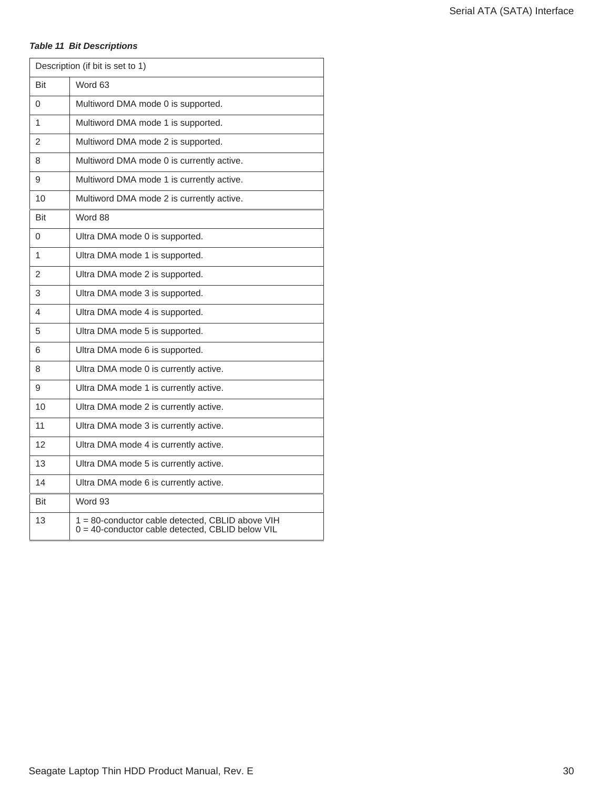#### *Table 11 Bit Descriptions*

| Description (if bit is set to 1) |                                                                                                      |  |
|----------------------------------|------------------------------------------------------------------------------------------------------|--|
| Bit                              | Word 63                                                                                              |  |
| $\Omega$                         | Multiword DMA mode 0 is supported.                                                                   |  |
| 1                                | Multiword DMA mode 1 is supported.                                                                   |  |
| 2                                | Multiword DMA mode 2 is supported.                                                                   |  |
| 8                                | Multiword DMA mode 0 is currently active.                                                            |  |
| 9                                | Multiword DMA mode 1 is currently active.                                                            |  |
| 10                               | Multiword DMA mode 2 is currently active.                                                            |  |
| Bit                              | Word 88                                                                                              |  |
| 0                                | Ultra DMA mode 0 is supported.                                                                       |  |
| 1                                | Ultra DMA mode 1 is supported.                                                                       |  |
| 2                                | Ultra DMA mode 2 is supported.                                                                       |  |
| 3                                | Ultra DMA mode 3 is supported.                                                                       |  |
| 4                                | Ultra DMA mode 4 is supported.                                                                       |  |
| 5                                | Ultra DMA mode 5 is supported.                                                                       |  |
| 6                                | Ultra DMA mode 6 is supported.                                                                       |  |
| 8                                | Ultra DMA mode 0 is currently active.                                                                |  |
| 9                                | Ultra DMA mode 1 is currently active.                                                                |  |
| 10                               | Ultra DMA mode 2 is currently active.                                                                |  |
| 11                               | Ultra DMA mode 3 is currently active.                                                                |  |
| 12                               | Ultra DMA mode 4 is currently active.                                                                |  |
| 13                               | Ultra DMA mode 5 is currently active.                                                                |  |
| 14                               | Ultra DMA mode 6 is currently active.                                                                |  |
| Bit                              | Word 93                                                                                              |  |
| 13                               | 1 = 80-conductor cable detected, CBLID above VIH<br>0 = 40-conductor cable detected, CBLID below VIL |  |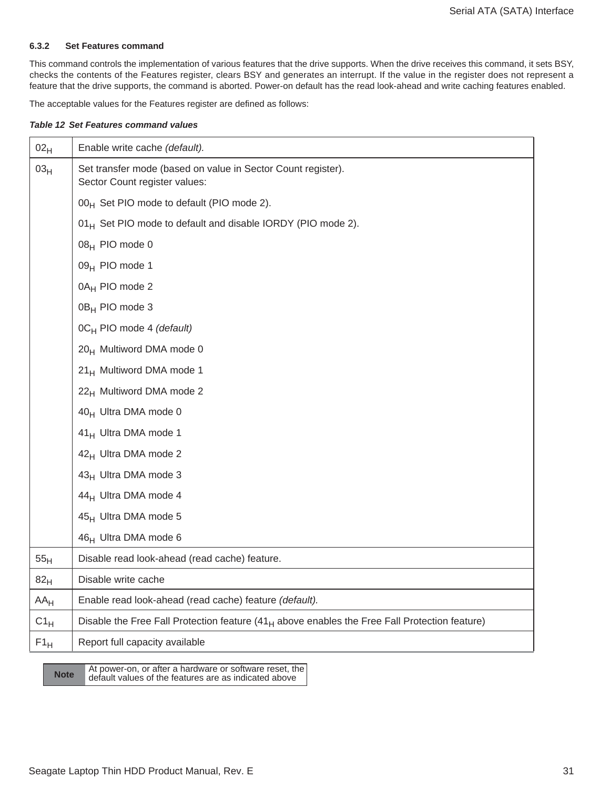#### <span id="page-31-0"></span>**6.3.2 Set Features command**

This command controls the implementation of various features that the drive supports. When the drive receives this command, it sets BSY, checks the contents of the Features register, clears BSY and generates an interrupt. If the value in the register does not represent a feature that the drive supports, the command is aborted. Power-on default has the read look-ahead and write caching features enabled.

The acceptable values for the Features register are defined as follows:

#### *Table 12 Set Features command values*

| 02 <sub>H</sub> | Enable write cache (default).                                                                    |
|-----------------|--------------------------------------------------------------------------------------------------|
| 03 <sub>H</sub> | Set transfer mode (based on value in Sector Count register).<br>Sector Count register values:    |
|                 | 00 <sub>H</sub> Set PIO mode to default (PIO mode 2).                                            |
|                 | 01 <sub>H</sub> Set PIO mode to default and disable IORDY (PIO mode 2).                          |
|                 | 08 <sub>H</sub> PIO mode 0                                                                       |
|                 | 09 <sub>H</sub> PIO mode 1                                                                       |
|                 | 0A <sub>H</sub> PIO mode 2                                                                       |
|                 | 0B <sub>H</sub> PIO mode 3                                                                       |
|                 | 0CH PIO mode 4 (default)                                                                         |
|                 | 20 <sub>H</sub> Multiword DMA mode 0                                                             |
|                 | 21 <sub>H</sub> Multiword DMA mode 1                                                             |
|                 | 22 <sub>H</sub> Multiword DMA mode 2                                                             |
|                 | 40 <sub>H</sub> Ultra DMA mode 0                                                                 |
|                 | 41 <sub>H</sub> Ultra DMA mode 1                                                                 |
|                 | 42 <sub>H</sub> Ultra DMA mode 2                                                                 |
|                 | 43 <sub>H</sub> Ultra DMA mode 3                                                                 |
|                 | 44 <sub>H</sub> Ultra DMA mode 4                                                                 |
|                 | 45 <sub>H</sub> Ultra DMA mode 5                                                                 |
|                 | 46 <sub>H</sub> Ultra DMA mode 6                                                                 |
| 55 <sub>H</sub> | Disable read look-ahead (read cache) feature.                                                    |
| 82 <sub>H</sub> | Disable write cache                                                                              |
| $AA_H$          | Enable read look-ahead (read cache) feature (default).                                           |
| $C1_H$          | Disable the Free Fall Protection feature $(41_H$ above enables the Free Fall Protection feature) |
| $F1_H$          | Report full capacity available                                                                   |

At power-on, or after a hardware or software reset, the<br> **Note** default values of the features are as indicated above default values of the features are as indicated above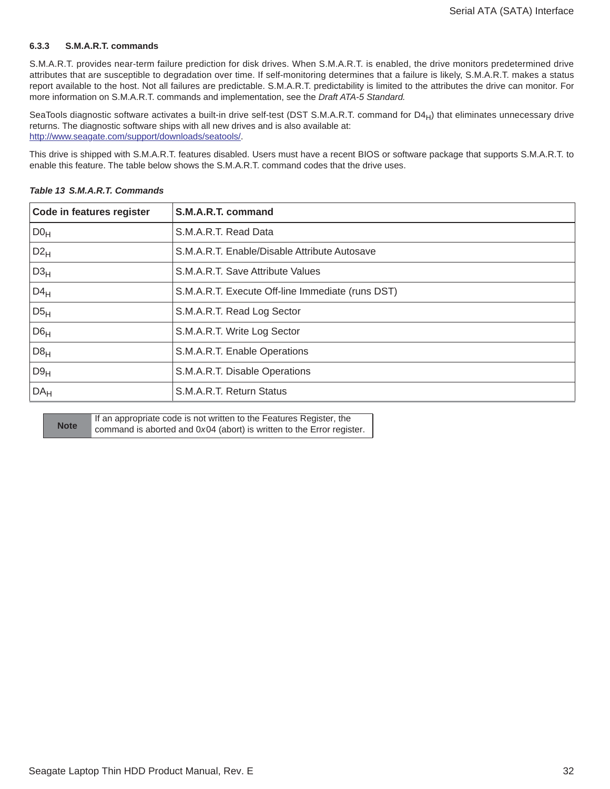#### <span id="page-32-0"></span>**6.3.3 S.M.A.R.T. commands**

S.M.A.R.T. provides near-term failure prediction for disk drives. When S.M.A.R.T. is enabled, the drive monitors predetermined drive attributes that are susceptible to degradation over time. If self-monitoring determines that a failure is likely, S.M.A.R.T. makes a status report available to the host. Not all failures are predictable. S.M.A.R.T. predictability is limited to the attributes the drive can monitor. For more information on S.M.A.R.T. commands and implementation, see the *Draft ATA-5 Standard.*

SeaTools diagnostic software activates a built-in drive self-test (DST S.M.A.R.T. command for D4 $_{H}$ ) that eliminates unnecessary drive returns. The diagnostic software ships with all new drives and is also available at: [http://www.sea](http://www.seagate.com/support/downloads/seatools/)gate.com/support/downloads/seatools/.

This drive is shipped with S.M.A.R.T. features disabled. Users must have a recent BIOS or software package that supports S.M.A.R.T. to enable this feature. The table below shows the S.M.A.R.T. command codes that the drive uses.

| Code in features register | S.M.A.R.T. command                               |
|---------------------------|--------------------------------------------------|
| DO <sub>H</sub>           | S.M.A.R.T. Read Data                             |
| $D2_H$                    | S.M.A.R.T. Enable/Disable Attribute Autosave     |
| D3 <sub>H</sub>           | S.M.A.R.T. Save Attribute Values                 |
| $D4_H$                    | S.M.A.R.T. Execute Off-line Immediate (runs DST) |
| D5 <sub>H</sub>           | S.M.A.R.T. Read Log Sector                       |
| D6 <sub>H</sub>           | S.M.A.R.T. Write Log Sector                      |
| D8 <sub>H</sub>           | S.M.A.R.T. Enable Operations                     |
| D9 <sub>H</sub>           | S.M.A.R.T. Disable Operations                    |
| DA <sub>H</sub>           | S.M.A.R.T. Return Status                         |
|                           |                                                  |

#### *Table 13 S.M.A.R.T. Commands*

| <b>Note</b> | If an appropriate code is not written to the Features Register, the   |
|-------------|-----------------------------------------------------------------------|
|             | command is aborted and 0x04 (abort) is written to the Error register. |